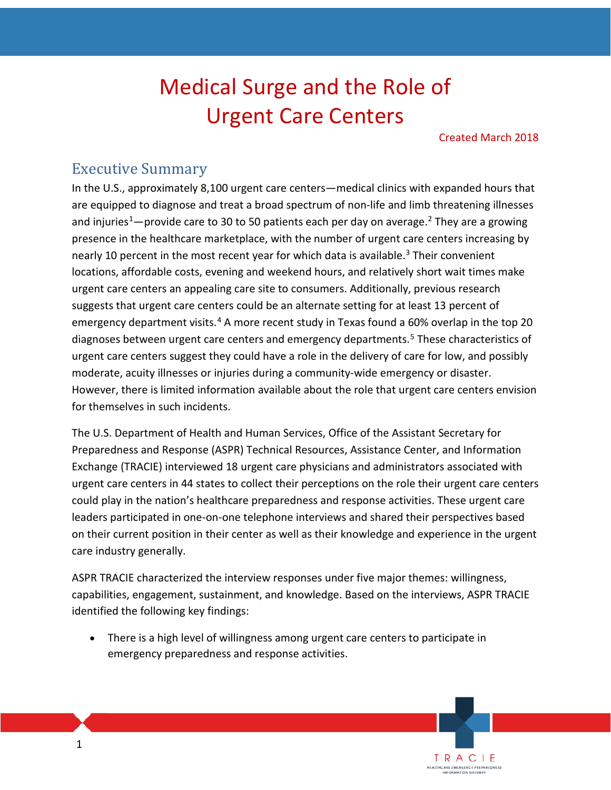# Medical Surge and the Role of Urgent Care Centers

Created March 2018

TRACIE **EALTHCARE EMERGENCY PREPAREDNESS** 

## Executive Summary

In the U.S., approximately 8,100 urgent care centers—medical clinics with expanded hours that are equipped to diagnose and treat a broad spectrum of non-life and limb threatening illnesses and injuries<sup>1</sup>—provide care to 30 to 50 patients each per day on average.<sup>[2](#page-45-1)</sup> They are a growing presence in the healthcare marketplace, with the number of urgent care centers increasing by nearly 10 percent in the most recent year for which data is available.<sup>[3](#page-45-2)</sup> Their convenient locations, affordable costs, evening and weekend hours, and relatively short wait times make urgent care centers an appealing care site to consumers. Additionally, previous research suggests that urgent care centers could be an alternate setting for at least 13 percent of emergency department visits.<sup>[4](#page-45-3)</sup> A more recent study in Texas found a 60% overlap in the top 20 diagnoses between urgent care centers and emergency departments.<sup>[5](#page-45-4)</sup> These characteristics of urgent care centers suggest they could have a role in the delivery of care for low, and possibly moderate, acuity illnesses or injuries during a community-wide emergency or disaster. However, there is limited information available about the role that urgent care centers envision for themselves in such incidents.

The U.S. Department of Health and Human Services, Office of the Assistant Secretary for Preparedness and Response (ASPR) Technical Resources, Assistance Center, and Information Exchange (TRACIE) interviewed 18 urgent care physicians and administrators associated with urgent care centers in 44 states to collect their perceptions on the role their urgent care centers could play in the nation's healthcare preparedness and response activities. These urgent care leaders participated in one-on-one telephone interviews and shared their perspectives based on their current position in their center as well as their knowledge and experience in the urgent care industry generally.

ASPR TRACIE characterized the interview responses under five major themes: willingness, capabilities, engagement, sustainment, and knowledge. Based on the interviews, ASPR TRACIE identified the following key findings:

• There is a high level of willingness among urgent care centers to participate in emergency preparedness and response activities.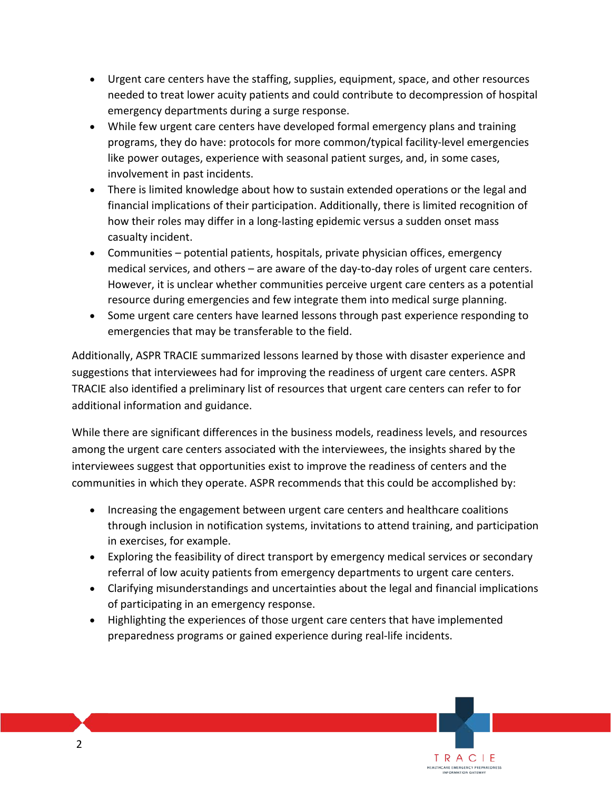- Urgent care centers have the staffing, supplies, equipment, space, and other resources needed to treat lower acuity patients and could contribute to decompression of hospital emergency departments during a surge response.
- While few urgent care centers have developed formal emergency plans and training programs, they do have: protocols for more common/typical facility-level emergencies like power outages, experience with seasonal patient surges, and, in some cases, involvement in past incidents.
- There is limited knowledge about how to sustain extended operations or the legal and financial implications of their participation. Additionally, there is limited recognition of how their roles may differ in a long-lasting epidemic versus a sudden onset mass casualty incident.
- Communities potential patients, hospitals, private physician offices, emergency medical services, and others – are aware of the day-to-day roles of urgent care centers. However, it is unclear whether communities perceive urgent care centers as a potential resource during emergencies and few integrate them into medical surge planning.
- Some urgent care centers have learned lessons through past experience responding to emergencies that may be transferable to the field.

Additionally, ASPR TRACIE summarized lessons learned by those with disaster experience and suggestions that interviewees had for improving the readiness of urgent care centers. ASPR TRACIE also identified a preliminary list of resources that urgent care centers can refer to for additional information and guidance.

While there are significant differences in the business models, readiness levels, and resources among the urgent care centers associated with the interviewees, the insights shared by the interviewees suggest that opportunities exist to improve the readiness of centers and the communities in which they operate. ASPR recommends that this could be accomplished by:

- Increasing the engagement between urgent care centers and healthcare coalitions through inclusion in notification systems, invitations to attend training, and participation in exercises, for example.
- Exploring the feasibility of direct transport by emergency medical services or secondary referral of low acuity patients from emergency departments to urgent care centers.
- Clarifying misunderstandings and uncertainties about the legal and financial implications of participating in an emergency response.

TRACIE HEALTHCARE EMERGENCY PREPAREDNESS

• Highlighting the experiences of those urgent care centers that have implemented preparedness programs or gained experience during real-life incidents.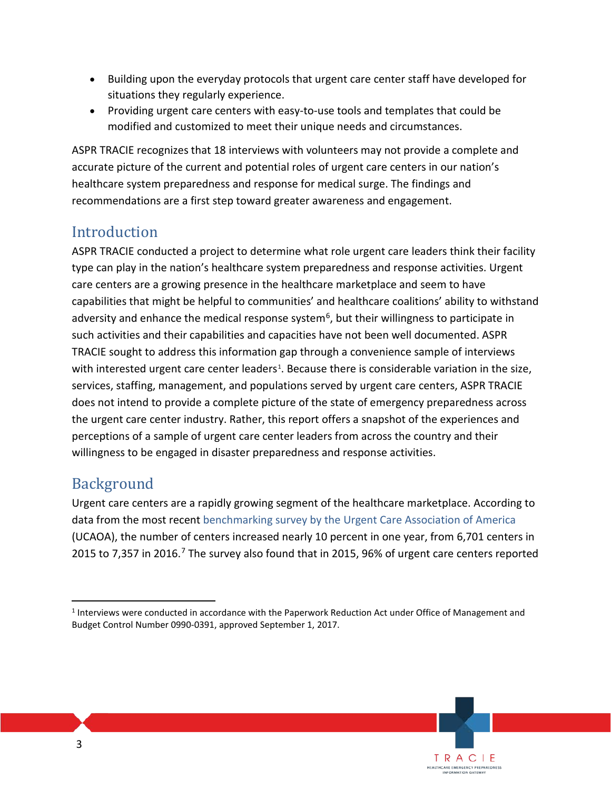- Building upon the everyday protocols that urgent care center staff have developed for situations they regularly experience.
- Providing urgent care centers with easy-to-use tools and templates that could be modified and customized to meet their unique needs and circumstances.

ASPR TRACIE recognizes that 18 interviews with volunteers may not provide a complete and accurate picture of the current and potential roles of urgent care centers in our nation's healthcare system preparedness and response for medical surge. The findings and recommendations are a first step toward greater awareness and engagement.

## **Introduction**

ASPR TRACIE conducted a project to determine what role urgent care leaders think their facility type can play in the nation's healthcare system preparedness and response activities. Urgent care centers are a growing presence in the healthcare marketplace and seem to have capabilities that might be helpful to communities' and healthcare coalitions' ability to withstand adversity and enhance the medical response system<sup>6</sup>, but their willingness to participate in such activities and their capabilities and capacities have not been well documented. ASPR TRACIE sought to address this information gap through a convenience sample of interviews with interested urgent care center leaders<sup>[1](#page-2-0)</sup>. Because there is considerable variation in the size, services, staffing, management, and populations served by urgent care centers, ASPR TRACIE does not intend to provide a complete picture of the state of emergency preparedness across the urgent care center industry. Rather, this report offers a snapshot of the experiences and perceptions of a sample of urgent care center leaders from across the country and their willingness to be engaged in disaster preparedness and response activities.

## Background

Urgent care centers are a rapidly growing segment of the healthcare marketplace. According to data from the most recent [benchmarking survey by the Urgent Care Association of America](http://c.ymcdn.com/sites/www.ucaoa.org/resource/resmgr/benchmarking/2016BenchmarkReport.pdf) (UCAOA), the number of centers increased nearly 10 percent in one year, from 6,701 centers in 2015 to [7](#page-45-6),357 in 2016.<sup>7</sup> The survey also found that in 2015, 96% of urgent care centers reported

<span id="page-2-0"></span> <sup>1</sup> Interviews were conducted in accordance with the Paperwork Reduction Act under Office of Management and Budget Control Number 0990-0391, approved September 1, 2017.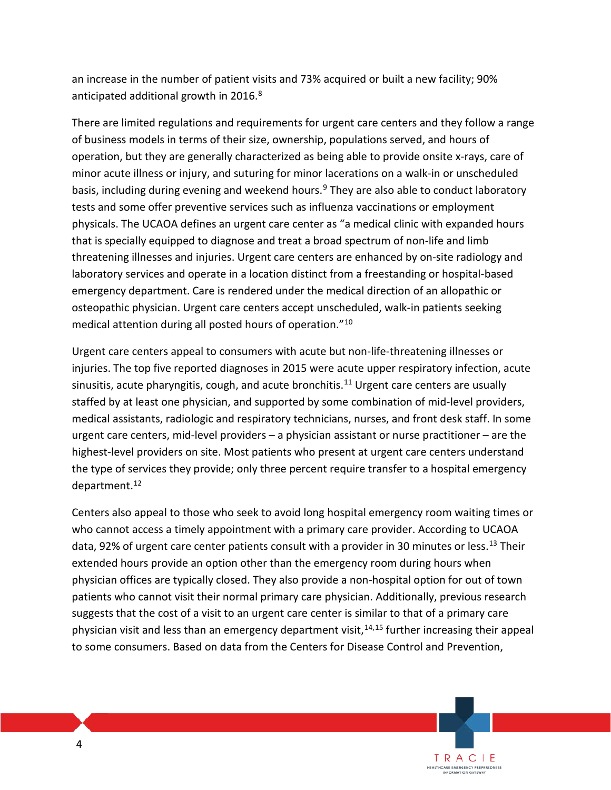an increase in the number of patient visits and 73% acquired or built a new facility; 90% anticipated additional growth in 2016.<sup>[8](#page-45-7)</sup>

There are limited regulations and requirements for urgent care centers and they follow a range of business models in terms of their size, ownership, populations served, and hours of operation, but they are generally characterized as being able to provide onsite x-rays, care of minor acute illness or injury, and suturing for minor lacerations on a walk-in or unscheduled basis, including during evening and weekend hours.<sup>[9](#page-45-8)</sup> They are also able to conduct laboratory tests and some offer preventive services such as influenza vaccinations or employment physicals. The UCAOA defines an urgent care center as "a medical clinic with expanded hours that is specially equipped to diagnose and treat a broad spectrum of non-life and limb threatening illnesses and injuries. Urgent care centers are enhanced by on-site radiology and laboratory services and operate in a location distinct from a freestanding or hospital-based emergency department. Care is rendered under the medical direction of an allopathic or osteopathic physician. Urgent care centers accept unscheduled, walk-in patients seeking medical attention during all posted hours of operation."[10](#page-45-9)

Urgent care centers appeal to consumers with acute but non-life-threatening illnesses or injuries. The top five reported diagnoses in 2015 were acute upper respiratory infection, acute sinusitis, acute pharyngitis, cough, and acute bronchitis.<sup>[11](#page-45-10)</sup> Urgent care centers are usually staffed by at least one physician, and supported by some combination of mid-level providers, medical assistants, radiologic and respiratory technicians, nurses, and front desk staff. In some urgent care centers, mid-level providers – a physician assistant or nurse practitioner – are the highest-level providers on site. Most patients who present at urgent care centers understand the type of services they provide; only three percent require transfer to a hospital emergency department.[12](#page-45-11)

Centers also appeal to those who seek to avoid long hospital emergency room waiting times or who cannot access a timely appointment with a primary care provider. According to UCAOA data, 92% of urgent care center patients consult with a provider in 30 minutes or less.<sup>[13](#page-45-12)</sup> Their extended hours provide an option other than the emergency room during hours when physician offices are typically closed. They also provide a non-hospital option for out of town patients who cannot visit their normal primary care physician. Additionally, previous research suggests that the cost of a visit to an urgent care center is similar to that of a primary care physician visit and less than an emergency department visit,<sup>[14](#page-45-13),[15](#page-45-14)</sup> further increasing their appeal to some consumers. Based on data from the Centers for Disease Control and Prevention,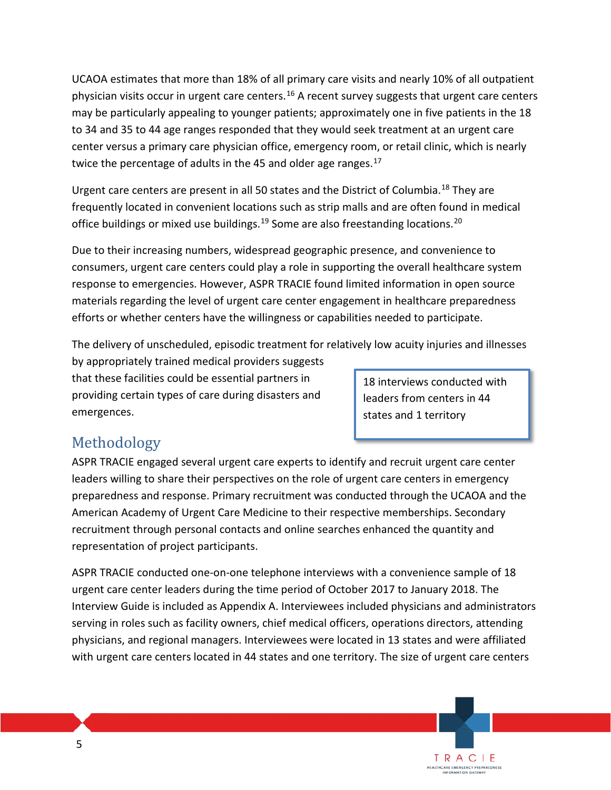UCAOA estimates that more than 18% of all primary care visits and nearly 10% of all outpatient physician visits occur in urgent care centers.<sup>[16](#page-45-15)</sup> A recent survey suggests that urgent care centers may be particularly appealing to younger patients; approximately one in five patients in the 18 to 34 and 35 to 44 age ranges responded that they would seek treatment at an urgent care center versus a primary care physician office, emergency room, or retail clinic, which is nearly twice the percentage of adults in the 45 and older age ranges. $17$ 

Urgent care centers are present in all 50 states and the District of Columbia.<sup>[18](#page-45-17)</sup> They are frequently located in convenient locations such as strip malls and are often found in medical office buildings or mixed use buildings.<sup>19</sup> Some are also freestanding locations.<sup>[20](#page-45-19)</sup>

Due to their increasing numbers, widespread geographic presence, and convenience to consumers, urgent care centers could play a role in supporting the overall healthcare system response to emergencies. However, ASPR TRACIE found limited information in open source materials regarding the level of urgent care center engagement in healthcare preparedness efforts or whether centers have the willingness or capabilities needed to participate.

The delivery of unscheduled, episodic treatment for relatively low acuity injuries and illnesses

by appropriately trained medical providers suggests that these facilities could be essential partners in providing certain types of care during disasters and emergences.

18 interviews conducted with leaders from centers in 44 states and 1 territory

> TRACIE HEALTHCARE EMERGENCY PREPAREDNESS<br>INFORMATION GATEWAY

## Methodology

ASPR TRACIE engaged several urgent care experts to identify and recruit urgent care center leaders willing to share their perspectives on the role of urgent care centers in emergency preparedness and response. Primary recruitment was conducted through the UCAOA and the American Academy of Urgent Care Medicine to their respective memberships. Secondary recruitment through personal contacts and online searches enhanced the quantity and representation of project participants.

ASPR TRACIE conducted one-on-one telephone interviews with a convenience sample of 18 urgent care center leaders during the time period of October 2017 to January 2018. The Interview Guide is included as Appendix A. Interviewees included physicians and administrators serving in roles such as facility owners, chief medical officers, operations directors, attending physicians, and regional managers. Interviewees were located in 13 states and were affiliated with urgent care centers located in 44 states and one territory. The size of urgent care centers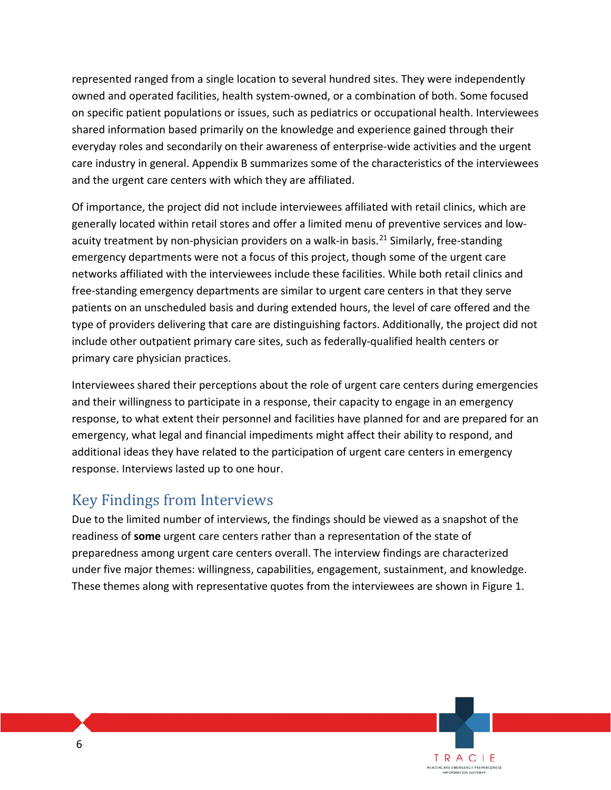represented ranged from a single location to several hundred sites. They were independently owned and operated facilities, health system-owned, or a combination of both. Some focused on specific patient populations or issues, such as pediatrics or occupational health. Interviewees shared information based primarily on the knowledge and experience gained through their everyday roles and secondarily on their awareness of enterprise-wide activities and the urgent care industry in general. Appendix B summarizes some of the characteristics of the interviewees and the urgent care centers with which they are affiliated.

Of importance, the project did not include interviewees affiliated with retail clinics, which are generally located within retail stores and offer a limited menu of preventive services and low-acuity treatment by non-physician providers on a walk-in basis.<sup>[21](#page-45-20)</sup> Similarly, free-standing emergency departments were not a focus of this project, though some of the urgent care networks affiliated with the interviewees include these facilities. While both retail clinics and free-standing emergency departments are similar to urgent care centers in that they serve patients on an unscheduled basis and during extended hours, the level of care offered and the type of providers delivering that care are distinguishing factors. Additionally, the project did not include other outpatient primary care sites, such as federally-qualified health centers or primary care physician practices.

Interviewees shared their perceptions about the role of urgent care centers during emergencies and their willingness to participate in a response, their capacity to engage in an emergency response, to what extent their personnel and facilities have planned for and are prepared for an emergency, what legal and financial impediments might affect their ability to respond, and additional ideas they have related to the participation of urgent care centers in emergency response. Interviews lasted up to one hour.

## Key Findings from Interviews

Due to the limited number of interviews, the findings should be viewed as a snapshot of the readiness of **some** urgent care centers rather than a representation of the state of preparedness among urgent care centers overall. The interview findings are characterized under five major themes: willingness, capabilities, engagement, sustainment, and knowledge. These themes along with representative quotes from the interviewees are shown in Figure 1.

> TRACIE **EALTHCARE EMERGENCY PREPAREDNESS**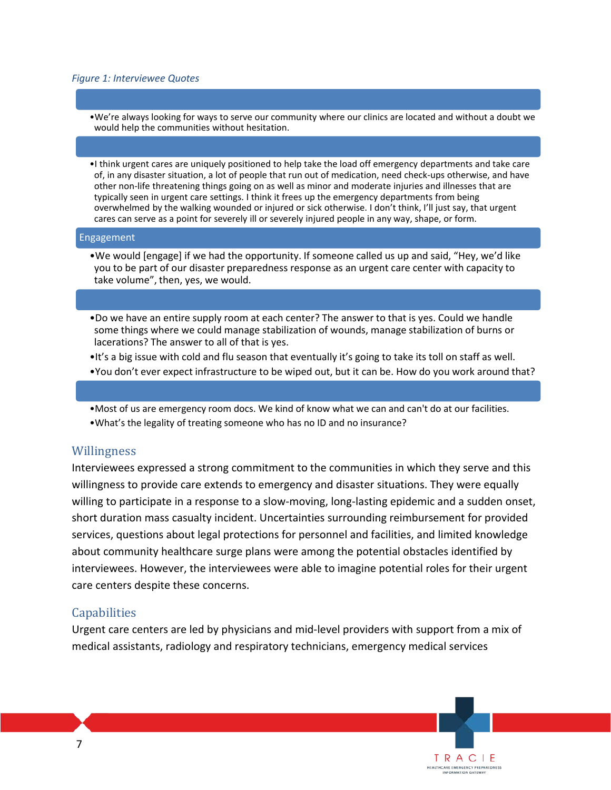#### *Figure 1: Interviewee Quotes*

- •We're always looking for ways to serve our community where our clinics are located and without a doubt we would help the communities without hesitation.
- •I think urgent cares are uniquely positioned to help take the load off emergency departments and take care of, in any disaster situation, a lot of people that run out of medication, need check-ups otherwise, and have other non-life threatening things going on as well as minor and moderate injuries and illnesses that are typically seen in urgent care settings. I think it frees up the emergency departments from being overwhelmed by the walking wounded or injured or sick otherwise. I don't think, I'll just say, that urgent cares can serve as a point for severely ill or severely injured people in any way, shape, or form.

#### Engagement

- •We would [engage] if we had the opportunity. If someone called us up and said, "Hey, we'd like you to be part of our disaster preparedness response as an urgent care center with capacity to take volume", then, yes, we would.
- •Do we have an entire supply room at each center? The answer to that is yes. Could we handle some things where we could manage stabilization of wounds, manage stabilization of burns or lacerations? The answer to all of that is yes.
- •It's a big issue with cold and flu season that eventually it's going to take its toll on staff as well.
- •You don't ever expect infrastructure to be wiped out, but it can be. How do you work around that?
- •Most of us are emergency room docs. We kind of know what we can and can't do at our facilities. •What's the legality of treating someone who has no ID and no insurance?

#### Willingness

Interviewees expressed a strong commitment to the communities in which they serve and this willingness to provide care extends to emergency and disaster situations. They were equally willing to participate in a response to a slow-moving, long-lasting epidemic and a sudden onset, short duration mass casualty incident. Uncertainties surrounding reimbursement for provided services, questions about legal protections for personnel and facilities, and limited knowledge about community healthcare surge plans were among the potential obstacles identified by interviewees. However, the interviewees were able to imagine potential roles for their urgent care centers despite these concerns.

#### Capabilities

Urgent care centers are led by physicians and mid-level providers with support from a mix of medical assistants, radiology and respiratory technicians, emergency medical services

> TRACIE HEALTHCARE EMERGENCY PREPAREDNESS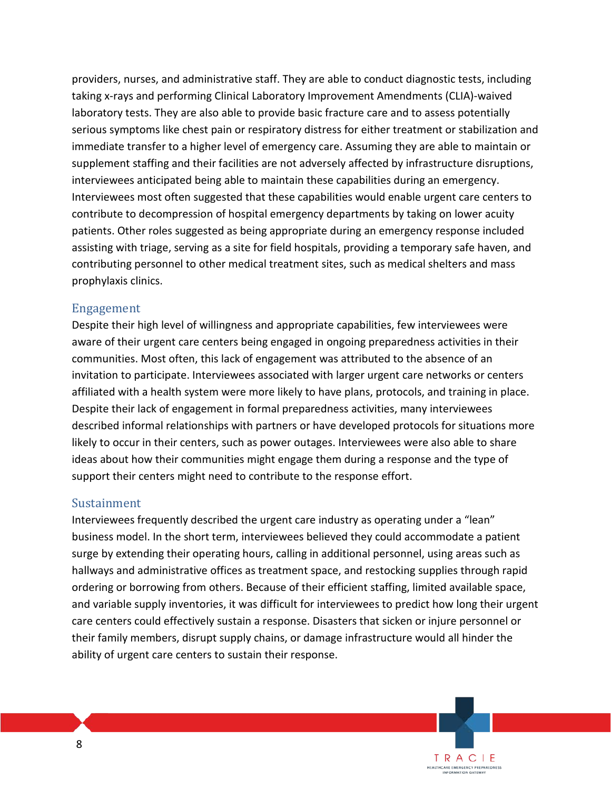providers, nurses, and administrative staff. They are able to conduct diagnostic tests, including taking x-rays and performing Clinical Laboratory Improvement Amendments (CLIA)-waived laboratory tests. They are also able to provide basic fracture care and to assess potentially serious symptoms like chest pain or respiratory distress for either treatment or stabilization and immediate transfer to a higher level of emergency care. Assuming they are able to maintain or supplement staffing and their facilities are not adversely affected by infrastructure disruptions, interviewees anticipated being able to maintain these capabilities during an emergency. Interviewees most often suggested that these capabilities would enable urgent care centers to contribute to decompression of hospital emergency departments by taking on lower acuity patients. Other roles suggested as being appropriate during an emergency response included assisting with triage, serving as a site for field hospitals, providing a temporary safe haven, and contributing personnel to other medical treatment sites, such as medical shelters and mass prophylaxis clinics.

#### Engagement

Despite their high level of willingness and appropriate capabilities, few interviewees were aware of their urgent care centers being engaged in ongoing preparedness activities in their communities. Most often, this lack of engagement was attributed to the absence of an invitation to participate. Interviewees associated with larger urgent care networks or centers affiliated with a health system were more likely to have plans, protocols, and training in place. Despite their lack of engagement in formal preparedness activities, many interviewees described informal relationships with partners or have developed protocols for situations more likely to occur in their centers, such as power outages. Interviewees were also able to share ideas about how their communities might engage them during a response and the type of support their centers might need to contribute to the response effort.

#### Sustainment

Interviewees frequently described the urgent care industry as operating under a "lean" business model. In the short term, interviewees believed they could accommodate a patient surge by extending their operating hours, calling in additional personnel, using areas such as hallways and administrative offices as treatment space, and restocking supplies through rapid ordering or borrowing from others. Because of their efficient staffing, limited available space, and variable supply inventories, it was difficult for interviewees to predict how long their urgent care centers could effectively sustain a response. Disasters that sicken or injure personnel or their family members, disrupt supply chains, or damage infrastructure would all hinder the ability of urgent care centers to sustain their response.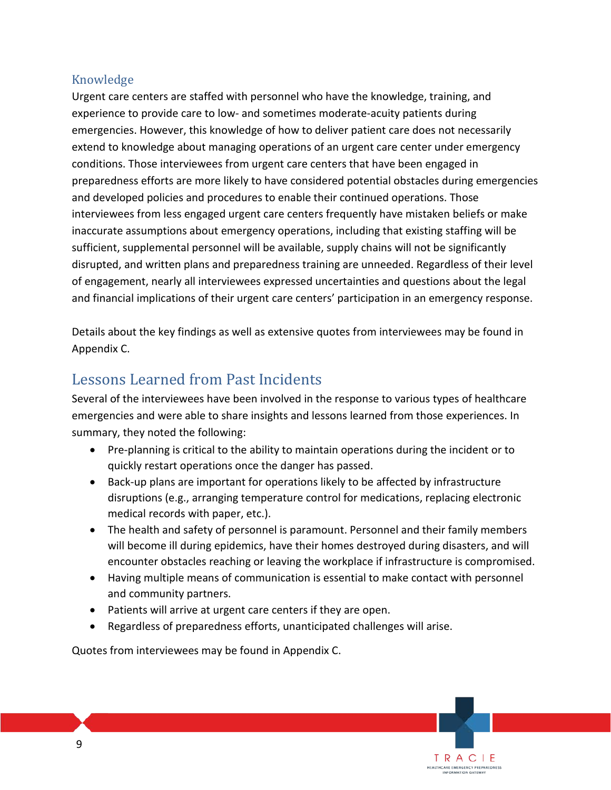### Knowledge

Urgent care centers are staffed with personnel who have the knowledge, training, and experience to provide care to low- and sometimes moderate-acuity patients during emergencies. However, this knowledge of how to deliver patient care does not necessarily extend to knowledge about managing operations of an urgent care center under emergency conditions. Those interviewees from urgent care centers that have been engaged in preparedness efforts are more likely to have considered potential obstacles during emergencies and developed policies and procedures to enable their continued operations. Those interviewees from less engaged urgent care centers frequently have mistaken beliefs or make inaccurate assumptions about emergency operations, including that existing staffing will be sufficient, supplemental personnel will be available, supply chains will not be significantly disrupted, and written plans and preparedness training are unneeded. Regardless of their level of engagement, nearly all interviewees expressed uncertainties and questions about the legal and financial implications of their urgent care centers' participation in an emergency response.

Details about the key findings as well as extensive quotes from interviewees may be found in Appendix C.

## Lessons Learned from Past Incidents

Several of the interviewees have been involved in the response to various types of healthcare emergencies and were able to share insights and lessons learned from those experiences. In summary, they noted the following:

- Pre-planning is critical to the ability to maintain operations during the incident or to quickly restart operations once the danger has passed.
- Back-up plans are important for operations likely to be affected by infrastructure disruptions (e.g., arranging temperature control for medications, replacing electronic medical records with paper, etc.).
- The health and safety of personnel is paramount. Personnel and their family members will become ill during epidemics, have their homes destroyed during disasters, and will encounter obstacles reaching or leaving the workplace if infrastructure is compromised.
- Having multiple means of communication is essential to make contact with personnel and community partners.

TRACIE HEALTHCARE EMERGENCY PREPAREDNESS<br>INFORMATION GATEWAY

- Patients will arrive at urgent care centers if they are open.
- Regardless of preparedness efforts, unanticipated challenges will arise.

Quotes from interviewees may be found in Appendix C.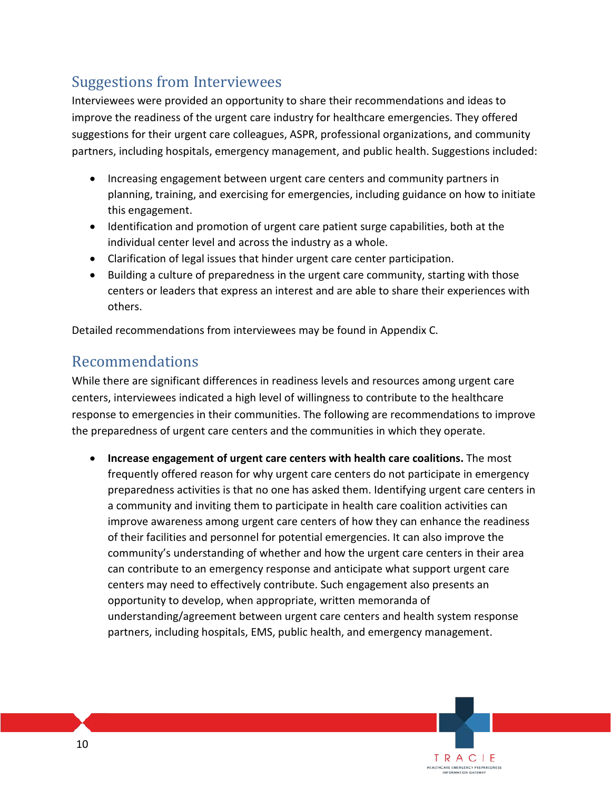## Suggestions from Interviewees

Interviewees were provided an opportunity to share their recommendations and ideas to improve the readiness of the urgent care industry for healthcare emergencies. They offered suggestions for their urgent care colleagues, ASPR, professional organizations, and community partners, including hospitals, emergency management, and public health. Suggestions included:

- Increasing engagement between urgent care centers and community partners in planning, training, and exercising for emergencies, including guidance on how to initiate this engagement.
- Identification and promotion of urgent care patient surge capabilities, both at the individual center level and across the industry as a whole.
- Clarification of legal issues that hinder urgent care center participation.
- Building a culture of preparedness in the urgent care community, starting with those centers or leaders that express an interest and are able to share their experiences with others.

Detailed recommendations from interviewees may be found in Appendix C.

### Recommendations

While there are significant differences in readiness levels and resources among urgent care centers, interviewees indicated a high level of willingness to contribute to the healthcare response to emergencies in their communities. The following are recommendations to improve the preparedness of urgent care centers and the communities in which they operate.

• **Increase engagement of urgent care centers with health care coalitions.** The most frequently offered reason for why urgent care centers do not participate in emergency preparedness activities is that no one has asked them. Identifying urgent care centers in a community and inviting them to participate in health care coalition activities can improve awareness among urgent care centers of how they can enhance the readiness of their facilities and personnel for potential emergencies. It can also improve the community's understanding of whether and how the urgent care centers in their area can contribute to an emergency response and anticipate what support urgent care centers may need to effectively contribute. Such engagement also presents an opportunity to develop, when appropriate, written memoranda of understanding/agreement between urgent care centers and health system response partners, including hospitals, EMS, public health, and emergency management.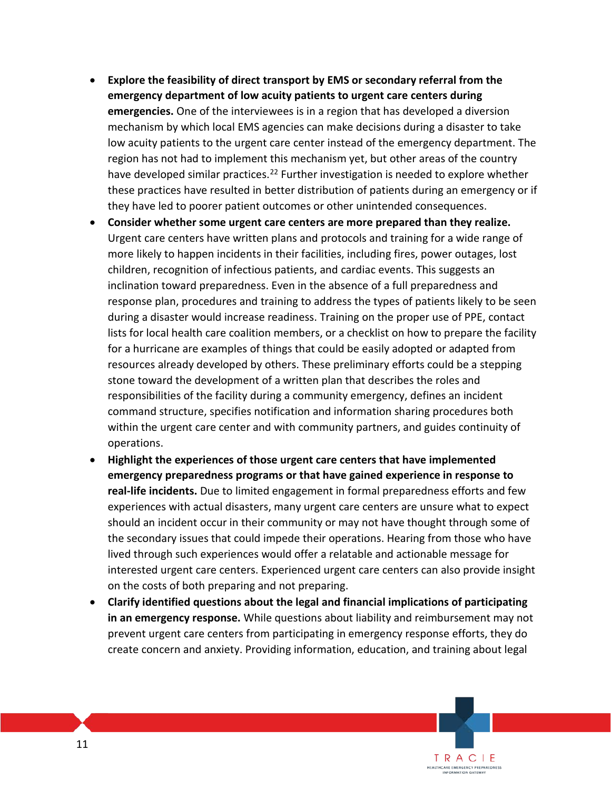- **Explore the feasibility of direct transport by EMS or secondary referral from the emergency department of low acuity patients to urgent care centers during emergencies.** One of the interviewees is in a region that has developed a diversion mechanism by which local EMS agencies can make decisions during a disaster to take low acuity patients to the urgent care center instead of the emergency department. The region has not had to implement this mechanism yet, but other areas of the country have developed similar practices.<sup>[22](#page-45-21)</sup> Further investigation is needed to explore whether these practices have resulted in better distribution of patients during an emergency or if they have led to poorer patient outcomes or other unintended consequences.
- **Consider whether some urgent care centers are more prepared than they realize.** Urgent care centers have written plans and protocols and training for a wide range of more likely to happen incidents in their facilities, including fires, power outages, lost children, recognition of infectious patients, and cardiac events. This suggests an inclination toward preparedness. Even in the absence of a full preparedness and response plan, procedures and training to address the types of patients likely to be seen during a disaster would increase readiness. Training on the proper use of PPE, contact lists for local health care coalition members, or a checklist on how to prepare the facility for a hurricane are examples of things that could be easily adopted or adapted from resources already developed by others. These preliminary efforts could be a stepping stone toward the development of a written plan that describes the roles and responsibilities of the facility during a community emergency, defines an incident command structure, specifies notification and information sharing procedures both within the urgent care center and with community partners, and guides continuity of operations.
- **Highlight the experiences of those urgent care centers that have implemented emergency preparedness programs or that have gained experience in response to real-life incidents.** Due to limited engagement in formal preparedness efforts and few experiences with actual disasters, many urgent care centers are unsure what to expect should an incident occur in their community or may not have thought through some of the secondary issues that could impede their operations. Hearing from those who have lived through such experiences would offer a relatable and actionable message for interested urgent care centers. Experienced urgent care centers can also provide insight on the costs of both preparing and not preparing.
- **Clarify identified questions about the legal and financial implications of participating in an emergency response.** While questions about liability and reimbursement may not prevent urgent care centers from participating in emergency response efforts, they do create concern and anxiety. Providing information, education, and training about legal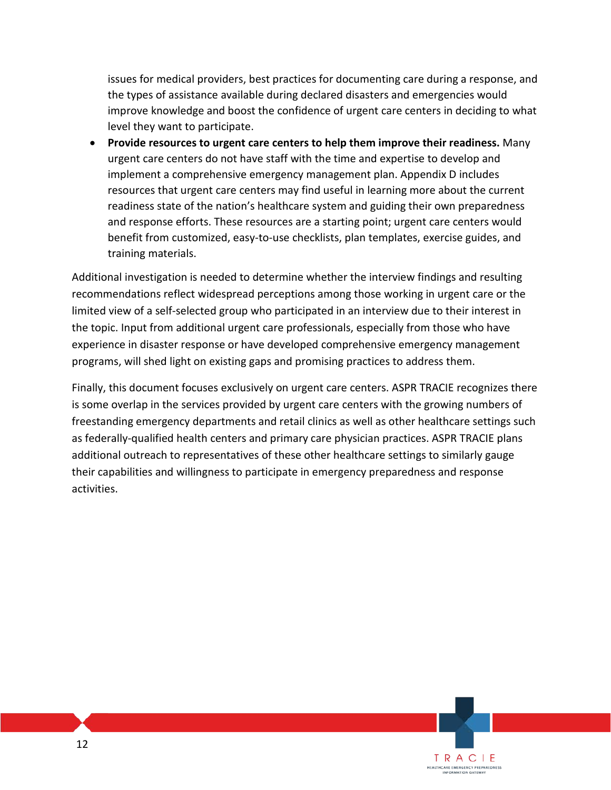issues for medical providers, best practices for documenting care during a response, and the types of assistance available during declared disasters and emergencies would improve knowledge and boost the confidence of urgent care centers in deciding to what level they want to participate.

• **Provide resources to urgent care centers to help them improve their readiness.** Many urgent care centers do not have staff with the time and expertise to develop and implement a comprehensive emergency management plan. Appendix D includes resources that urgent care centers may find useful in learning more about the current readiness state of the nation's healthcare system and guiding their own preparedness and response efforts. These resources are a starting point; urgent care centers would benefit from customized, easy-to-use checklists, plan templates, exercise guides, and training materials.

Additional investigation is needed to determine whether the interview findings and resulting recommendations reflect widespread perceptions among those working in urgent care or the limited view of a self-selected group who participated in an interview due to their interest in the topic. Input from additional urgent care professionals, especially from those who have experience in disaster response or have developed comprehensive emergency management programs, will shed light on existing gaps and promising practices to address them.

Finally, this document focuses exclusively on urgent care centers. ASPR TRACIE recognizes there is some overlap in the services provided by urgent care centers with the growing numbers of freestanding emergency departments and retail clinics as well as other healthcare settings such as federally-qualified health centers and primary care physician practices. ASPR TRACIE plans additional outreach to representatives of these other healthcare settings to similarly gauge their capabilities and willingness to participate in emergency preparedness and response activities.

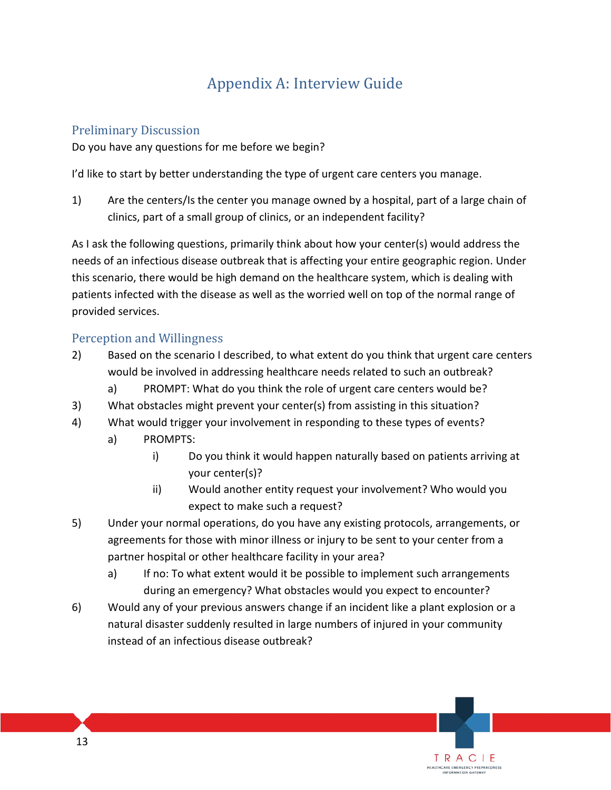## Appendix A: Interview Guide

### Preliminary Discussion

Do you have any questions for me before we begin?

I'd like to start by better understanding the type of urgent care centers you manage.

1) Are the centers/Is the center you manage owned by a hospital, part of a large chain of clinics, part of a small group of clinics, or an independent facility?

As I ask the following questions, primarily think about how your center(s) would address the needs of an infectious disease outbreak that is affecting your entire geographic region. Under this scenario, there would be high demand on the healthcare system, which is dealing with patients infected with the disease as well as the worried well on top of the normal range of provided services.

### Perception and Willingness

- 2) Based on the scenario I described, to what extent do you think that urgent care centers would be involved in addressing healthcare needs related to such an outbreak?
	- a) PROMPT: What do you think the role of urgent care centers would be?
- 3) What obstacles might prevent your center(s) from assisting in this situation?
- 4) What would trigger your involvement in responding to these types of events?
	- a) PROMPTS:
		- i) Do you think it would happen naturally based on patients arriving at your center(s)?

- ii) Would another entity request your involvement? Who would you expect to make such a request?
- 5) Under your normal operations, do you have any existing protocols, arrangements, or agreements for those with minor illness or injury to be sent to your center from a partner hospital or other healthcare facility in your area?
	- a) If no: To what extent would it be possible to implement such arrangements during an emergency? What obstacles would you expect to encounter?
- 6) Would any of your previous answers change if an incident like a plant explosion or a natural disaster suddenly resulted in large numbers of injured in your community instead of an infectious disease outbreak?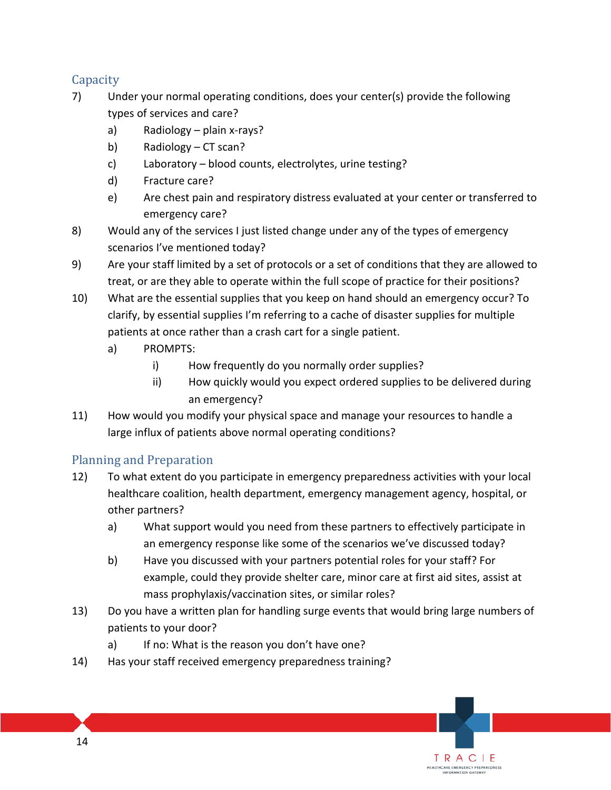### **Capacity**

- 7) Under your normal operating conditions, does your center(s) provide the following types of services and care?
	- a) Radiology plain x-rays?
	- b) Radiology CT scan?
	- c) Laboratory blood counts, electrolytes, urine testing?
	- d) Fracture care?
	- e) Are chest pain and respiratory distress evaluated at your center or transferred to emergency care?
- 8) Would any of the services I just listed change under any of the types of emergency scenarios I've mentioned today?
- 9) Are your staff limited by a set of protocols or a set of conditions that they are allowed to treat, or are they able to operate within the full scope of practice for their positions?
- 10) What are the essential supplies that you keep on hand should an emergency occur? To clarify, by essential supplies I'm referring to a cache of disaster supplies for multiple patients at once rather than a crash cart for a single patient.
	- a) PROMPTS:
		- i) How frequently do you normally order supplies?
		- ii) How quickly would you expect ordered supplies to be delivered during an emergency?
- 11) How would you modify your physical space and manage your resources to handle a large influx of patients above normal operating conditions?

### Planning and Preparation

- 12) To what extent do you participate in emergency preparedness activities with your local healthcare coalition, health department, emergency management agency, hospital, or other partners?
	- a) What support would you need from these partners to effectively participate in an emergency response like some of the scenarios we've discussed today?
	- b) Have you discussed with your partners potential roles for your staff? For example, could they provide shelter care, minor care at first aid sites, assist at mass prophylaxis/vaccination sites, or similar roles?

TRACIE HEALTHCARE EMERGENCY PREPAREDNESS

- 13) Do you have a written plan for handling surge events that would bring large numbers of patients to your door?
	- a) If no: What is the reason you don't have one?
- 14) Has your staff received emergency preparedness training?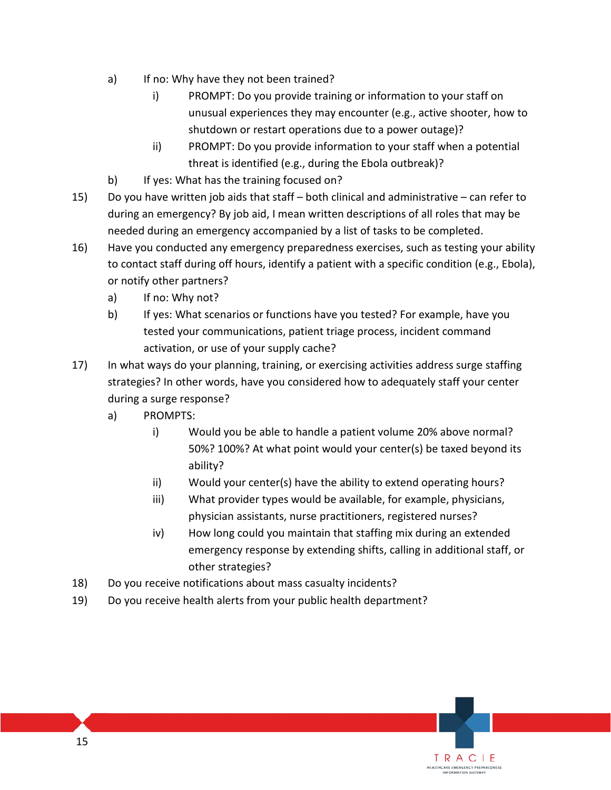- a) If no: Why have they not been trained?
	- i) PROMPT: Do you provide training or information to your staff on unusual experiences they may encounter (e.g., active shooter, how to shutdown or restart operations due to a power outage)?
	- ii) PROMPT: Do you provide information to your staff when a potential threat is identified (e.g., during the Ebola outbreak)?
- b) If yes: What has the training focused on?
- 15) Do you have written job aids that staff both clinical and administrative can refer to during an emergency? By job aid, I mean written descriptions of all roles that may be needed during an emergency accompanied by a list of tasks to be completed.
- 16) Have you conducted any emergency preparedness exercises, such as testing your ability to contact staff during off hours, identify a patient with a specific condition (e.g., Ebola), or notify other partners?
	- a) If no: Why not?
	- b) If yes: What scenarios or functions have you tested? For example, have you tested your communications, patient triage process, incident command activation, or use of your supply cache?
- 17) In what ways do your planning, training, or exercising activities address surge staffing strategies? In other words, have you considered how to adequately staff your center during a surge response?
	- a) PROMPTS:
		- i) Would you be able to handle a patient volume 20% above normal? 50%? 100%? At what point would your center(s) be taxed beyond its ability?
		- ii) Would your center(s) have the ability to extend operating hours?
		- iii) What provider types would be available, for example, physicians, physician assistants, nurse practitioners, registered nurses?
		- iv) How long could you maintain that staffing mix during an extended emergency response by extending shifts, calling in additional staff, or other strategies?

- 18) Do you receive notifications about mass casualty incidents?
- 19) Do you receive health alerts from your public health department?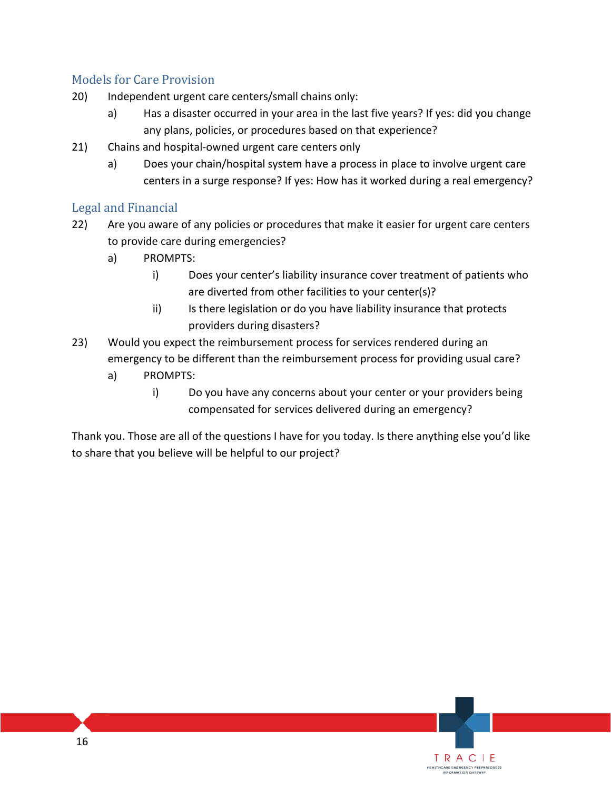### Models for Care Provision

- 20) Independent urgent care centers/small chains only:
	- a) Has a disaster occurred in your area in the last five years? If yes: did you change any plans, policies, or procedures based on that experience?
- 21) Chains and hospital-owned urgent care centers only
	- a) Does your chain/hospital system have a process in place to involve urgent care centers in a surge response? If yes: How has it worked during a real emergency?

### Legal and Financial

- 22) Are you aware of any policies or procedures that make it easier for urgent care centers to provide care during emergencies?
	- a) PROMPTS:
		- i) Does your center's liability insurance cover treatment of patients who are diverted from other facilities to your center(s)?
		- ii) Is there legislation or do you have liability insurance that protects providers during disasters?
- 23) Would you expect the reimbursement process for services rendered during an emergency to be different than the reimbursement process for providing usual care?
	- a) PROMPTS:
		- i) Do you have any concerns about your center or your providers being compensated for services delivered during an emergency?

Thank you. Those are all of the questions I have for you today. Is there anything else you'd like to share that you believe will be helpful to our project?

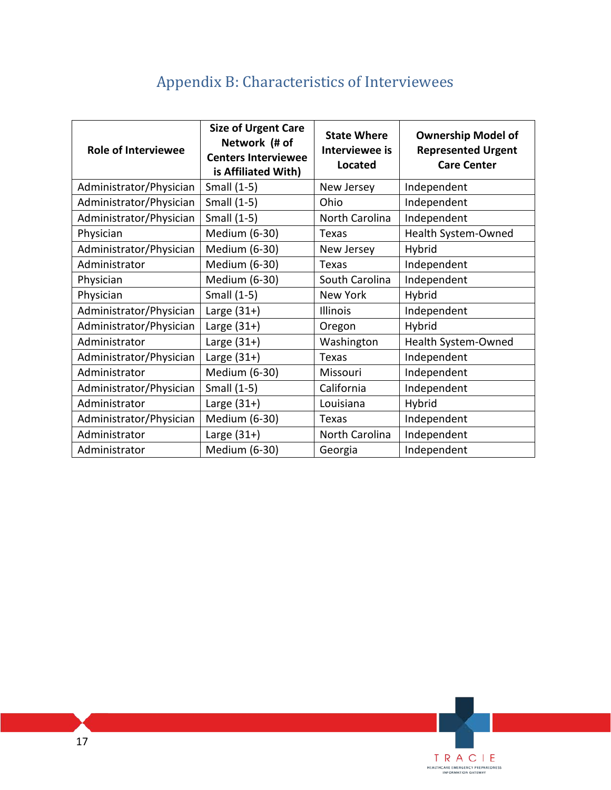## Appendix B: Characteristics of Interviewees

| <b>Role of Interviewee</b> | <b>Size of Urgent Care</b><br>Network (# of<br><b>Centers Interviewee</b><br>is Affiliated With) | <b>State Where</b><br>Interviewee is<br><b>Located</b> | <b>Ownership Model of</b><br><b>Represented Urgent</b><br><b>Care Center</b> |
|----------------------------|--------------------------------------------------------------------------------------------------|--------------------------------------------------------|------------------------------------------------------------------------------|
| Administrator/Physician    | Small (1-5)                                                                                      | New Jersey                                             | Independent                                                                  |
| Administrator/Physician    | Small (1-5)                                                                                      | Ohio                                                   | Independent                                                                  |
| Administrator/Physician    | Small (1-5)                                                                                      | North Carolina                                         | Independent                                                                  |
| Physician                  | Medium (6-30)                                                                                    | Texas                                                  | Health System-Owned                                                          |
| Administrator/Physician    | Medium (6-30)                                                                                    | New Jersey                                             | Hybrid                                                                       |
| Administrator              | Medium (6-30)                                                                                    | Texas                                                  | Independent                                                                  |
| Physician                  | Medium (6-30)                                                                                    | South Carolina                                         | Independent                                                                  |
| Physician                  | Small (1-5)                                                                                      | <b>New York</b>                                        | Hybrid                                                                       |
| Administrator/Physician    | Large $(31+)$                                                                                    | <b>Illinois</b>                                        | Independent                                                                  |
| Administrator/Physician    | Large $(31+)$                                                                                    | Oregon                                                 | Hybrid                                                                       |
| Administrator              | Large $(31+)$                                                                                    | Washington                                             | Health System-Owned                                                          |
| Administrator/Physician    | Large $(31+)$                                                                                    | <b>Texas</b>                                           | Independent                                                                  |
| Administrator              | Medium (6-30)                                                                                    | Missouri                                               | Independent                                                                  |
| Administrator/Physician    | Small (1-5)                                                                                      | California                                             | Independent                                                                  |
| Administrator              | Large $(31+)$                                                                                    | Louisiana                                              | Hybrid                                                                       |
| Administrator/Physician    | Medium (6-30)                                                                                    | Texas                                                  | Independent                                                                  |
| Administrator              | Large $(31+)$                                                                                    | North Carolina                                         | Independent                                                                  |
| Administrator              | Medium (6-30)                                                                                    | Georgia                                                | Independent                                                                  |

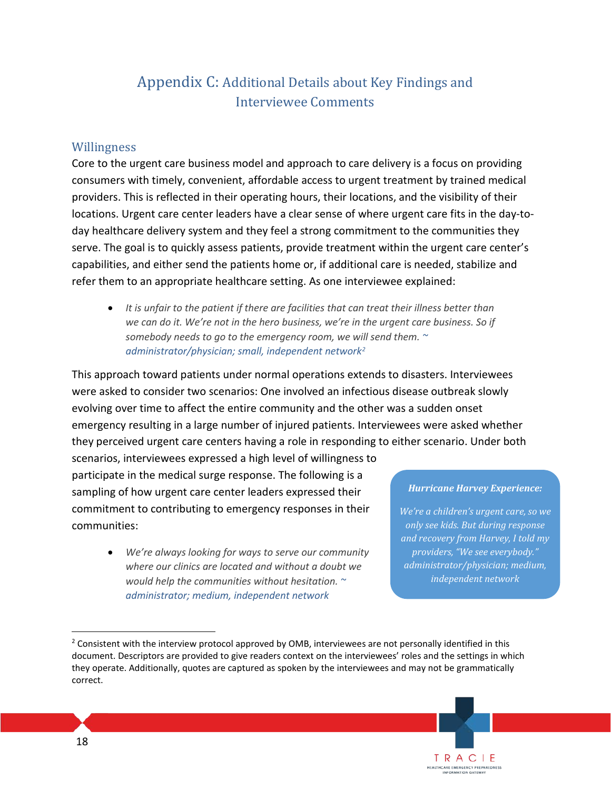## Appendix C: Additional Details about Key Findings and Interviewee Comments

### Willingness

Core to the urgent care business model and approach to care delivery is a focus on providing consumers with timely, convenient, affordable access to urgent treatment by trained medical providers. This is reflected in their operating hours, their locations, and the visibility of their locations. Urgent care center leaders have a clear sense of where urgent care fits in the day-today healthcare delivery system and they feel a strong commitment to the communities they serve. The goal is to quickly assess patients, provide treatment within the urgent care center's capabilities, and either send the patients home or, if additional care is needed, stabilize and refer them to an appropriate healthcare setting. As one interviewee explained:

• *It is unfair to the patient if there are facilities that can treat their illness better than we can do it. We're not in the hero business, we're in the urgent care business. So if somebody needs to go to the emergency room, we will send them. ~ administrator/physician; small, independent network[2](#page-17-0)*

This approach toward patients under normal operations extends to disasters. Interviewees were asked to consider two scenarios: One involved an infectious disease outbreak slowly evolving over time to affect the entire community and the other was a sudden onset emergency resulting in a large number of injured patients. Interviewees were asked whether they perceived urgent care centers having a role in responding to either scenario. Under both

scenarios, interviewees expressed a high level of willingness to participate in the medical surge response. The following is a sampling of how urgent care center leaders expressed their commitment to contributing to emergency responses in their communities:

> • *We're always looking for ways to serve our community where our clinics are located and without a doubt we would help the communities without hesitation. ~ administrator; medium, independent network*

#### *Hurricane Harvey Experience:*

*We're a children's urgent care, so we only see kids. But during response and recovery from Harvey, I told my providers, "We see everybody." administrator/physician; medium, independent network*

<span id="page-17-0"></span> correct.  $<sup>2</sup>$  Consistent with the interview protocol approved by OMB, interviewees are not personally identified in this</sup> document. Descriptors are provided to give readers context on the interviewees' roles and the settings in which they operate. Additionally, quotes are captured as spoken by the interviewees and may not be grammatically



 $\overline{a}$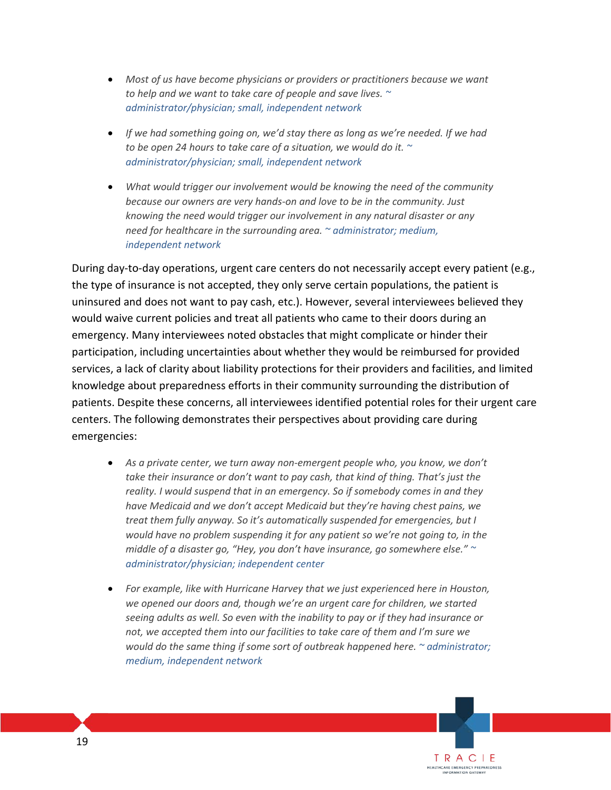- *Most of us have become physicians or providers or practitioners because we want to help and we want to take care of people and save lives. ~ administrator/physician; small, independent network*
- *If we had something going on, we'd stay there as long as we're needed. If we had to be open 24 hours to take care of a situation, we would do it. ~ administrator/physician; small, independent network*
- *What would trigger our involvement would be knowing the need of the community because our owners are very hands-on and love to be in the community. Just knowing the need would trigger our involvement in any natural disaster or any need for healthcare in the surrounding area. ~ administrator; medium, independent network*

During day-to-day operations, urgent care centers do not necessarily accept every patient (e.g., the type of insurance is not accepted, they only serve certain populations, the patient is uninsured and does not want to pay cash, etc.). However, several interviewees believed they would waive current policies and treat all patients who came to their doors during an emergency. Many interviewees noted obstacles that might complicate or hinder their participation, including uncertainties about whether they would be reimbursed for provided services, a lack of clarity about liability protections for their providers and facilities, and limited knowledge about preparedness efforts in their community surrounding the distribution of patients. Despite these concerns, all interviewees identified potential roles for their urgent care centers. The following demonstrates their perspectives about providing care during emergencies:

- As a private center, we turn away non-emergent people who, you know, we don't *take their insurance or don't want to pay cash, that kind of thing. That's just the reality. I would suspend that in an emergency. So if somebody comes in and they have Medicaid and we don't accept Medicaid but they're having chest pains, we treat them fully anyway. So it's automatically suspended for emergencies, but I would have no problem suspending it for any patient so we're not going to, in the middle of a disaster go, "Hey, you don't have insurance, go somewhere else." ~ administrator/physician; independent center*
- *For example, like with Hurricane Harvey that we just experienced here in Houston, we opened our doors and, though we're an urgent care for children, we started seeing adults as well. So even with the inability to pay or if they had insurance or not, we accepted them into our facilities to take care of them and I'm sure we would do the same thing if some sort of outbreak happened here. ~ administrator; medium, independent network*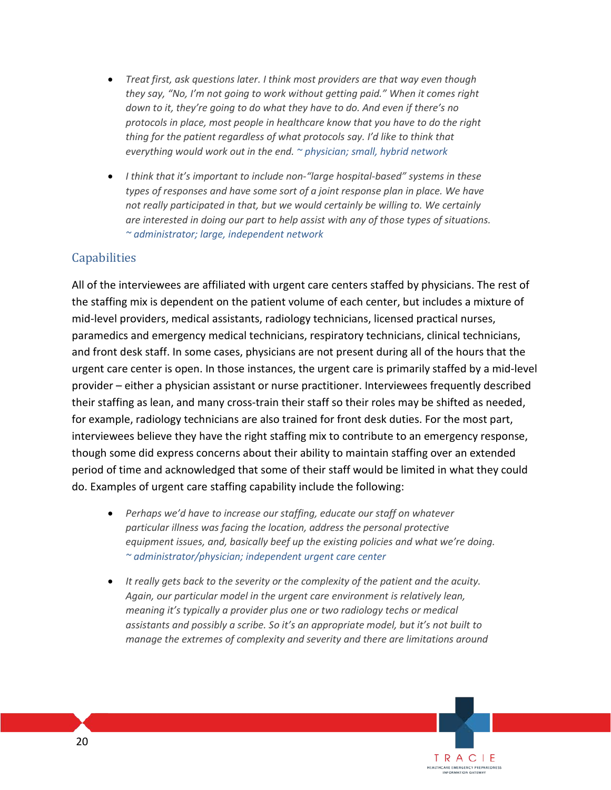- *Treat first, ask questions later. I think most providers are that way even though they say, "No, I'm not going to work without getting paid." When it comes right down to it, they're going to do what they have to do. And even if there's no protocols in place, most people in healthcare know that you have to do the right thing for the patient regardless of what protocols say. I'd like to think that everything would work out in the end. ~ physician; small, hybrid network*
- *I think that it's important to include non-"large hospital-based" systems in these types of responses and have some sort of a joint response plan in place. We have not really participated in that, but we would certainly be willing to. We certainly are interested in doing our part to help assist with any of those types of situations. ~ administrator; large, independent network*

### Capabilities

All of the interviewees are affiliated with urgent care centers staffed by physicians. The rest of the staffing mix is dependent on the patient volume of each center, but includes a mixture of mid-level providers, medical assistants, radiology technicians, licensed practical nurses, paramedics and emergency medical technicians, respiratory technicians, clinical technicians, and front desk staff. In some cases, physicians are not present during all of the hours that the urgent care center is open. In those instances, the urgent care is primarily staffed by a mid-level provider – either a physician assistant or nurse practitioner. Interviewees frequently described their staffing as lean, and many cross-train their staff so their roles may be shifted as needed, for example, radiology technicians are also trained for front desk duties. For the most part, interviewees believe they have the right staffing mix to contribute to an emergency response, though some did express concerns about their ability to maintain staffing over an extended period of time and acknowledged that some of their staff would be limited in what they could do. Examples of urgent care staffing capability include the following:

- *Perhaps we'd have to increase our staffing, educate our staff on whatever particular illness was facing the location, address the personal protective equipment issues, and, basically beef up the existing policies and what we're doing. ~ administrator/physician; independent urgent care center*
- *It really gets back to the severity or the complexity of the patient and the acuity. Again, our particular model in the urgent care environment is relatively lean, meaning it's typically a provider plus one or two radiology techs or medical assistants and possibly a scribe. So it's an appropriate model, but it's not built to manage the extremes of complexity and severity and there are limitations around*

TRACIE HEALTHCARE EMERGENCY PREPAREDNESS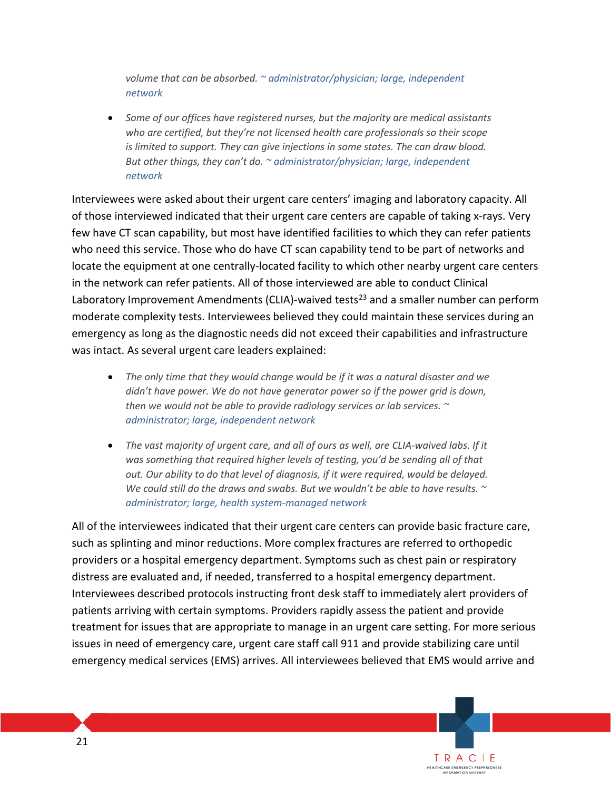*volume that can be absorbed. ~ administrator/physician; large, independent network*

• *Some of our offices have registered nurses, but the majority are medical assistants who are certified, but they're not licensed health care professionals so their scope is limited to support. They can give injections in some states. The can draw blood. But other things, they can't do. ~ administrator/physician; large, independent network*

Interviewees were asked about their urgent care centers' imaging and laboratory capacity. All of those interviewed indicated that their urgent care centers are capable of taking x-rays. Very few have CT scan capability, but most have identified facilities to which they can refer patients who need this service. Those who do have CT scan capability tend to be part of networks and locate the equipment at one centrally-located facility to which other nearby urgent care centers in the network can refer patients. All of those interviewed are able to conduct Clinical Laboratory Improvement Amendments (CLIA)-waived tests<sup>[23](#page-45-22)</sup> and a smaller number can perform moderate complexity tests. Interviewees believed they could maintain these services during an emergency as long as the diagnostic needs did not exceed their capabilities and infrastructure was intact. As several urgent care leaders explained:

- *The only time that they would change would be if it was a natural disaster and we didn't have power. We do not have generator power so if the power grid is down, then we would not be able to provide radiology services or lab services. ~ administrator; large, independent network*
- *The vast majority of urgent care, and all of ours as well, are CLIA-waived labs. If it was something that required higher levels of testing, you'd be sending all of that out. Our ability to do that level of diagnosis, if it were required, would be delayed. We could still do the draws and swabs. But we wouldn't be able to have results. ~ administrator; large, health system-managed network*

All of the interviewees indicated that their urgent care centers can provide basic fracture care, such as splinting and minor reductions. More complex fractures are referred to orthopedic providers or a hospital emergency department. Symptoms such as chest pain or respiratory distress are evaluated and, if needed, transferred to a hospital emergency department. Interviewees described protocols instructing front desk staff to immediately alert providers of patients arriving with certain symptoms. Providers rapidly assess the patient and provide treatment for issues that are appropriate to manage in an urgent care setting. For more serious issues in need of emergency care, urgent care staff call 911 and provide stabilizing care until emergency medical services (EMS) arrives. All interviewees believed that EMS would arrive and

> TRACIE HEALTHCARE EMERGENCY PREPAREDNESS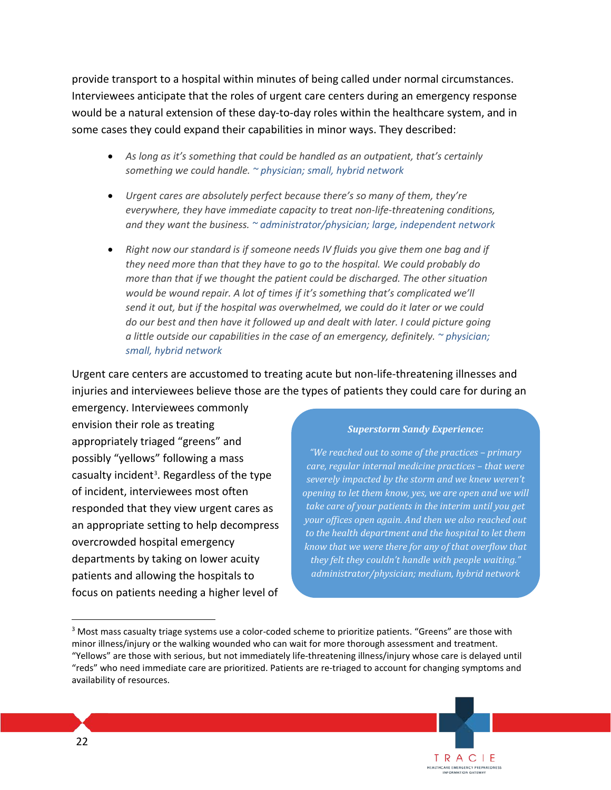provide transport to a hospital within minutes of being called under normal circumstances. Interviewees anticipate that the roles of urgent care centers during an emergency response would be a natural extension of these day-to-day roles within the healthcare system, and in some cases they could expand their capabilities in minor ways. They described:

- *As long as it's something that could be handled as an outpatient, that's certainly something we could handle. ~ physician; small, hybrid network*
- *Urgent cares are absolutely perfect because there's so many of them, they're everywhere, they have immediate capacity to treat non-life-threatening conditions, and they want the business. ~ administrator/physician; large, independent network*
- *Right now our standard is if someone needs IV fluids you give them one bag and if they need more than that they have to go to the hospital. We could probably do more than that if we thought the patient could be discharged. The other situation would be wound repair. A lot of times if it's something that's complicated we'll send it out, but if the hospital was overwhelmed, we could do it later or we could do our best and then have it followed up and dealt with later. I could picture going a little outside our capabilities in the case of an emergency, definitely. ~ physician; small, hybrid network*

Urgent care centers are accustomed to treating acute but non-life-threatening illnesses and injuries and interviewees believe those are the types of patients they could care for during an emergency. Interviewees commonly

envision their role as treating appropriately triaged "greens" and possibly "yellows" following a mass casualty incident<sup>3</sup>. Regardless of the type of incident, interviewees most often responded that they view urgent cares as an appropriate setting to help decompress overcrowded hospital emergency departments by taking on lower acuity patients and allowing the hospitals to focus on patients needing a higher level of

#### *Superstorm Sandy Experience:*

*"We reached out to some of the practices – primary care, regular internal medicine practices – that were severely impacted by the storm and we knew weren't opening to let them know, yes, we are open and we will take care of your patients in the interim until you get your offices open again. And then we also reached out to the health department and the hospital to let them know that we were there for any of that overflow that they felt they couldn't handle with people waiting." administrator/physician; medium, hybrid network* 

 $\overline{a}$ 

<span id="page-21-0"></span> availability of resources. <sup>3</sup> Most mass casualty triage systems use a color-coded scheme to prioritize patients. "Greens" are those with minor illness/injury or the walking wounded who can wait for more thorough assessment and treatment. "Yellows" are those with serious, but not immediately life-threatening illness/injury whose care is delayed until "reds" who need immediate care are prioritized. Patients are re-triaged to account for changing symptoms and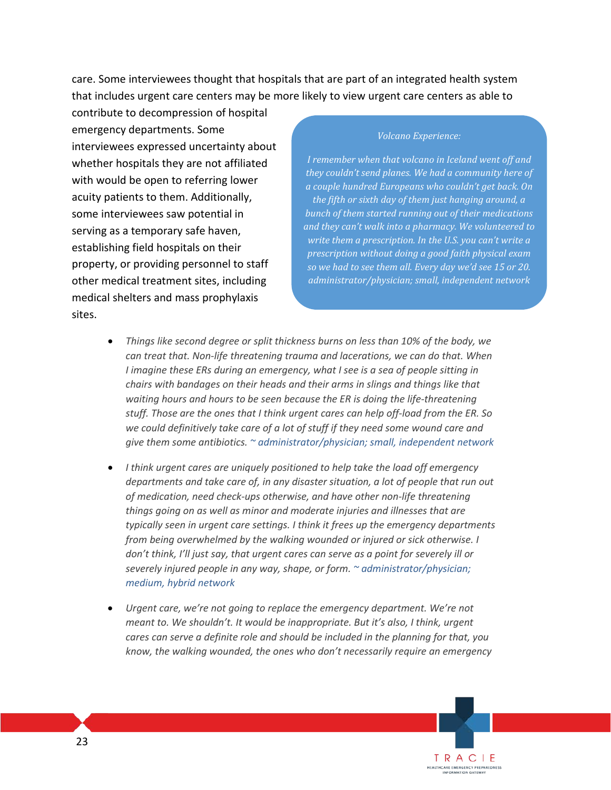care. Some interviewees thought that hospitals that are part of an integrated health system that includes urgent care centers may be more likely to view urgent care centers as able to

contribute to decompression of hospital emergency departments. Some interviewees expressed uncertainty about whether hospitals they are not affiliated with would be open to referring lower acuity patients to them. Additionally, some interviewees saw potential in serving as a temporary safe haven, establishing field hospitals on their property, or providing personnel to staff other medical treatment sites, including medical shelters and mass prophylaxis sites.

#### *Volcano Experience:*

*I remember when that volcano in Iceland went off and they couldn't send planes. We had a community here of a couple hundred Europeans who couldn't get back. On the fifth or sixth day of them just hanging around, a bunch of them started running out of their medications and they can't walk into a pharmacy. We volunteered to write them a prescription. In the U.S. you can't write a prescription without doing a good faith physical exam so we had to see them all. Every day we'd see 15 or 20. administrator/physician; small, independent network*

- *Things like second degree or split thickness burns on less than 10% of the body, we can treat that. Non-life threatening trauma and lacerations, we can do that. When I imagine these ERs during an emergency, what I see is a sea of people sitting in chairs with bandages on their heads and their arms in slings and things like that waiting hours and hours to be seen because the ER is doing the life-threatening stuff. Those are the ones that I think urgent cares can help off-load from the ER. So we could definitively take care of a lot of stuff if they need some wound care and give them some antibiotics. ~ administrator/physician; small, independent network*
- *I think urgent cares are uniquely positioned to help take the load off emergency departments and take care of, in any disaster situation, a lot of people that run out of medication, need check-ups otherwise, and have other non-life threatening things going on as well as minor and moderate injuries and illnesses that are typically seen in urgent care settings. I think it frees up the emergency departments from being overwhelmed by the walking wounded or injured or sick otherwise. I don't think, I'll just say, that urgent cares can serve as a point for severely ill or severely injured people in any way, shape, or form. ~ administrator/physician; medium, hybrid network*
- *Urgent care, we're not going to replace the emergency department. We're not meant to. We shouldn't. It would be inappropriate. But it's also, I think, urgent cares can serve a definite role and should be included in the planning for that, you know, the walking wounded, the ones who don't necessarily require an emergency*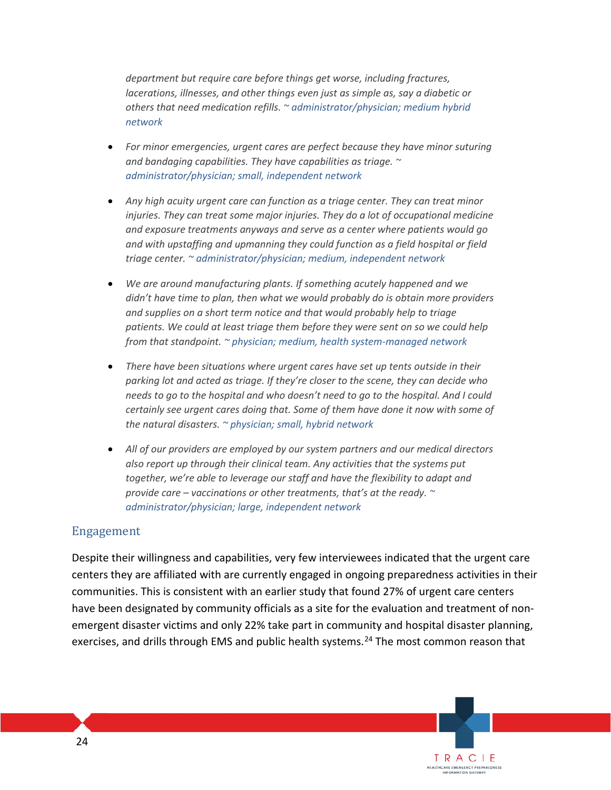*department but require care before things get worse, including fractures, lacerations, illnesses, and other things even just as simple as, say a diabetic or others that need medication refills. ~ administrator/physician; medium hybrid network* 

- *For minor emergencies, urgent cares are perfect because they have minor suturing and bandaging capabilities. They have capabilities as triage. ~ administrator/physician; small, independent network*
- *Any high acuity urgent care can function as a triage center. They can treat minor injuries. They can treat some major injuries. They do a lot of occupational medicine and exposure treatments anyways and serve as a center where patients would go and with upstaffing and upmanning they could function as a field hospital or field triage center. ~ administrator/physician; medium, independent network*
- *We are around manufacturing plants. If something acutely happened and we didn't have time to plan, then what we would probably do is obtain more providers and supplies on a short term notice and that would probably help to triage patients. We could at least triage them before they were sent on so we could help from that standpoint. ~ physician; medium, health system-managed network*
- *There have been situations where urgent cares have set up tents outside in their parking lot and acted as triage. If they're closer to the scene, they can decide who needs to go to the hospital and who doesn't need to go to the hospital. And I could certainly see urgent cares doing that. Some of them have done it now with some of the natural disasters. ~ physician; small, hybrid network*
- *All of our providers are employed by our system partners and our medical directors also report up through their clinical team. Any activities that the systems put together, we're able to leverage our staff and have the flexibility to adapt and provide care – vaccinations or other treatments, that's at the ready. ~ administrator/physician; large, independent network*

### Engagement

Despite their willingness and capabilities, very few interviewees indicated that the urgent care centers they are affiliated with are currently engaged in ongoing preparedness activities in their communities. This is consistent with an earlier study that found 27% of urgent care centers have been designated by community officials as a site for the evaluation and treatment of nonemergent disaster victims and only 22% take part in community and hospital disaster planning, exercises, and drills through EMS and public health systems.<sup>[24](#page-45-23)</sup> The most common reason that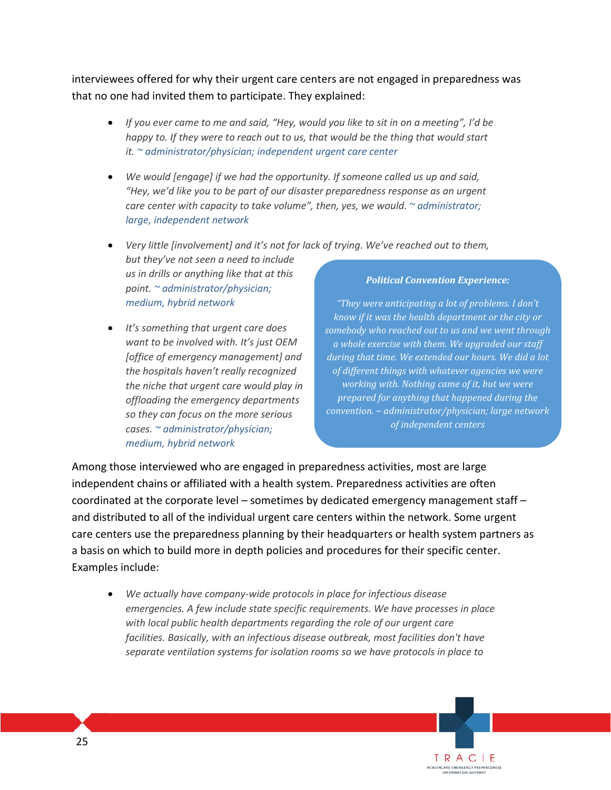interviewees offered for why their urgent care centers are not engaged in preparedness was that no one had invited them to participate. They explained:

- *If you ever came to me and said, "Hey, would you like to sit in on a meeting", I'd be happy to. If they were to reach out to us, that would be the thing that would start it. ~ administrator/physician; independent urgent care center*
- *We would [engage] if we had the opportunity. If someone called us up and said, "Hey, we'd like you to be part of our disaster preparedness response as an urgent care center with capacity to take volume", then, yes, we would. ~ administrator; large, independent network*
- *Very little [involvement] and it's not for lack of trying. We've reached out to them, but they've not seen a need to include us in drills or anything like that at this point. ~ administrator/physician; medium, hybrid network*
- *It's something that urgent care does want to be involved with. It's just OEM [office of emergency management] and the hospitals haven't really recognized the niche that urgent care would play in offloading the emergency departments so they can focus on the more serious cases. ~ administrator/physician; medium, hybrid network*

#### *Political Convention Experience:*

*"They were anticipating a lot of problems. I don't know if it was the health department or the city or somebody who reached out to us and we went through a whole exercise with them. We upgraded our staff during that time. We extended our hours. We did a lot of different things with whatever agencies we were working with. Nothing came of it, but we were prepared for anything that happened during the convention. ~ administrator/physician; large network of independent centers*

> TRACIE HEALTHCARE EMERGENCY PREPAREDNESS<br>INFORMATION GATEWAY

Among those interviewed who are engaged in preparedness activities, most are large independent chains or affiliated with a health system. Preparedness activities are often coordinated at the corporate level – sometimes by dedicated emergency management staff – and distributed to all of the individual urgent care centers within the network. Some urgent care centers use the preparedness planning by their headquarters or health system partners as a basis on which to build more in depth policies and procedures for their specific center. Examples include:

• *We actually have company-wide protocols in place for infectious disease emergencies. A few include state specific requirements. We have processes in place with local public health departments regarding the role of our urgent care facilities. Basically, with an infectious disease outbreak, most facilities don't have separate ventilation systems for isolation rooms so we have protocols in place to*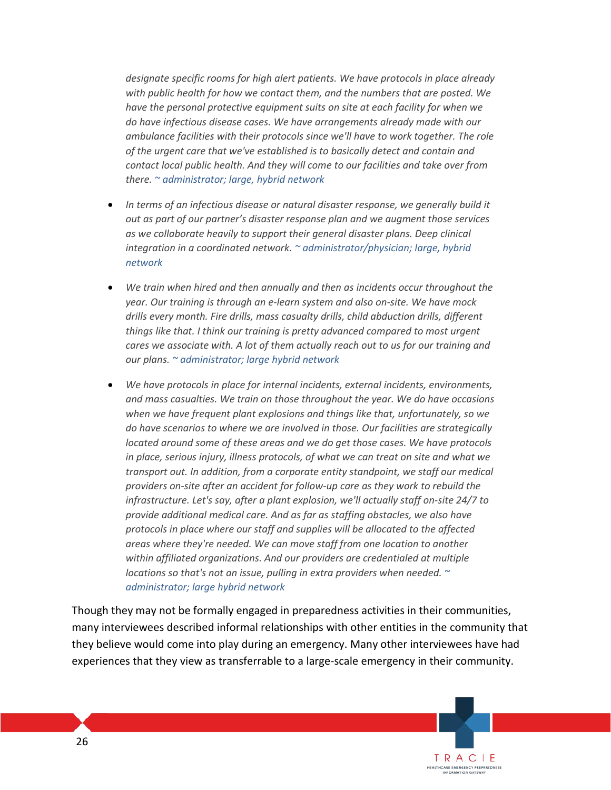*designate specific rooms for high alert patients. We have protocols in place already with public health for how we contact them, and the numbers that are posted. We have the personal protective equipment suits on site at each facility for when we do have infectious disease cases. We have arrangements already made with our ambulance facilities with their protocols since we'll have to work together. The role of the urgent care that we've established is to basically detect and contain and contact local public health. And they will come to our facilities and take over from there. ~ administrator; large, hybrid network* 

- *In terms of an infectious disease or natural disaster response, we generally build it out as part of our partner's disaster response plan and we augment those services as we collaborate heavily to support their general disaster plans. Deep clinical integration in a coordinated network. ~ administrator/physician; large, hybrid network*
- *We train when hired and then annually and then as incidents occur throughout the year. Our training is through an e-learn system and also on-site. We have mock drills every month. Fire drills, mass casualty drills, child abduction drills, different things like that. I think our training is pretty advanced compared to most urgent cares we associate with. A lot of them actually reach out to us for our training and our plans. ~ administrator; large hybrid network*
- *We have protocols in place for internal incidents, external incidents, environments, and mass casualties. We train on those throughout the year. We do have occasions when we have frequent plant explosions and things like that, unfortunately, so we do have scenarios to where we are involved in those. Our facilities are strategically located around some of these areas and we do get those cases. We have protocols in place, serious injury, illness protocols, of what we can treat on site and what we transport out. In addition, from a corporate entity standpoint, we staff our medical providers on-site after an accident for follow-up care as they work to rebuild the infrastructure. Let's say, after a plant explosion, we'll actually staff on-site 24/7 to provide additional medical care. And as far as staffing obstacles, we also have protocols in place where our staff and supplies will be allocated to the affected areas where they're needed. We can move staff from one location to another within affiliated organizations. And our providers are credentialed at multiple locations so that's not an issue, pulling in extra providers when needed. ~ administrator; large hybrid network*

Though they may not be formally engaged in preparedness activities in their communities, many interviewees described informal relationships with other entities in the community that they believe would come into play during an emergency. Many other interviewees have had experiences that they view as transferrable to a large-scale emergency in their community.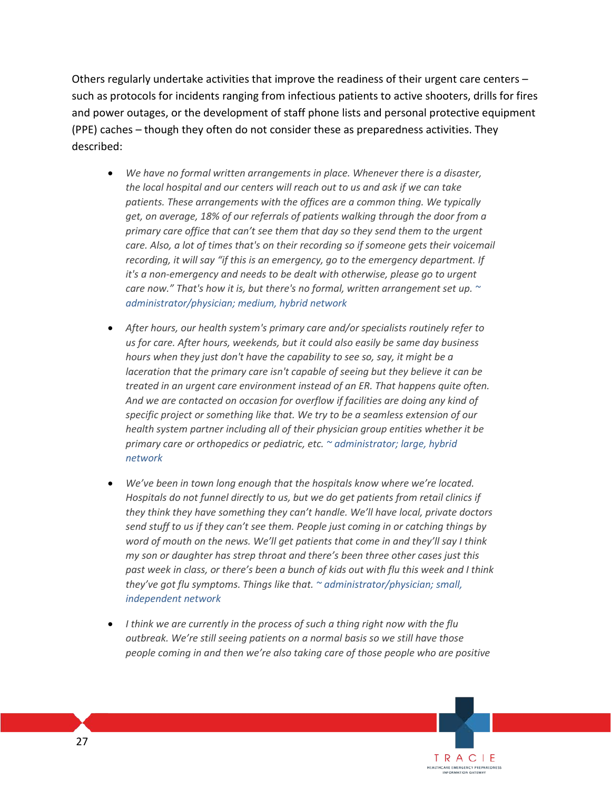Others regularly undertake activities that improve the readiness of their urgent care centers – such as protocols for incidents ranging from infectious patients to active shooters, drills for fires and power outages, or the development of staff phone lists and personal protective equipment (PPE) caches – though they often do not consider these as preparedness activities. They described:

- *We have no formal written arrangements in place. Whenever there is a disaster, the local hospital and our centers will reach out to us and ask if we can take patients. These arrangements with the offices are a common thing. We typically get, on average, 18% of our referrals of patients walking through the door from a primary care office that can't see them that day so they send them to the urgent care. Also, a lot of times that's on their recording so if someone gets their voicemail recording, it will say "if this is an emergency, go to the emergency department. If it's a non-emergency and needs to be dealt with otherwise, please go to urgent care now." That's how it is, but there's no formal, written arrangement set up. ~ administrator/physician; medium, hybrid network*
- *After hours, our health system's primary care and/or specialists routinely refer to us for care. After hours, weekends, but it could also easily be same day business hours when they just don't have the capability to see so, say, it might be a laceration that the primary care isn't capable of seeing but they believe it can be treated in an urgent care environment instead of an ER. That happens quite often. And we are contacted on occasion for overflow if facilities are doing any kind of specific project or something like that. We try to be a seamless extension of our health system partner including all of their physician group entities whether it be primary care or orthopedics or pediatric, etc. ~ administrator; large, hybrid network*
- *We've been in town long enough that the hospitals know where we're located. Hospitals do not funnel directly to us, but we do get patients from retail clinics if they think they have something they can't handle. We'll have local, private doctors send stuff to us if they can't see them. People just coming in or catching things by word of mouth on the news. We'll get patients that come in and they'll say I think my son or daughter has strep throat and there's been three other cases just this past week in class, or there's been a bunch of kids out with flu this week and I think they've got flu symptoms. Things like that. ~ administrator/physician; small, independent network*
- *I think we are currently in the process of such a thing right now with the flu outbreak. We're still seeing patients on a normal basis so we still have those people coming in and then we're also taking care of those people who are positive*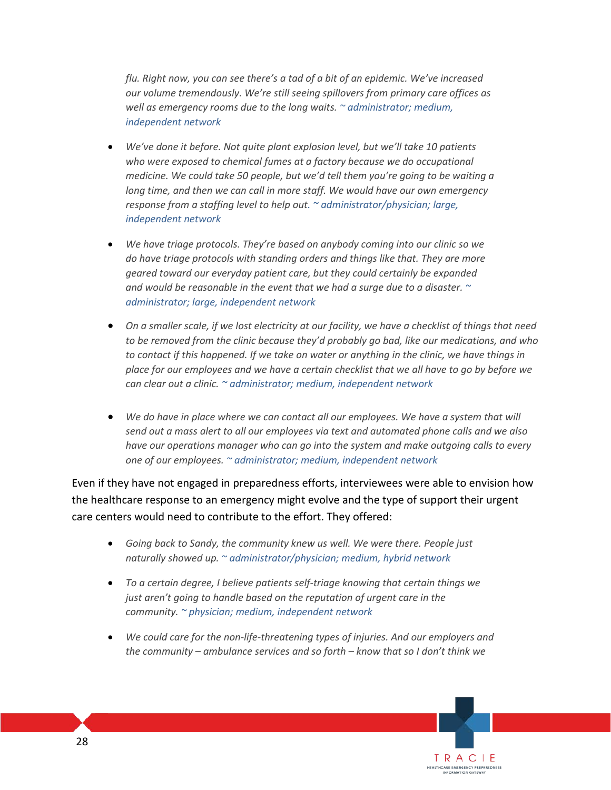*flu. Right now, you can see there's a tad of a bit of an epidemic. We've increased our volume tremendously. We're still seeing spillovers from primary care offices as well as emergency rooms due to the long waits. ~ administrator; medium, independent network*

- *We've done it before. Not quite plant explosion level, but we'll take 10 patients who were exposed to chemical fumes at a factory because we do occupational medicine. We could take 50 people, but we'd tell them you're going to be waiting a long time, and then we can call in more staff. We would have our own emergency response from a staffing level to help out. ~ administrator/physician; large, independent network*
- *We have triage protocols. They're based on anybody coming into our clinic so we do have triage protocols with standing orders and things like that. They are more geared toward our everyday patient care, but they could certainly be expanded and would be reasonable in the event that we had a surge due to a disaster. ~ administrator; large, independent network*
- *On a smaller scale, if we lost electricity at our facility, we have a checklist of things that need to be removed from the clinic because they'd probably go bad, like our medications, and who to contact if this happened. If we take on water or anything in the clinic, we have things in place for our employees and we have a certain checklist that we all have to go by before we can clear out a clinic. ~ administrator; medium, independent network*
- *We do have in place where we can contact all our employees. We have a system that will send out a mass alert to all our employees via text and automated phone calls and we also have our operations manager who can go into the system and make outgoing calls to every one of our employees. ~ administrator; medium, independent network*

Even if they have not engaged in preparedness efforts, interviewees were able to envision how the healthcare response to an emergency might evolve and the type of support their urgent care centers would need to contribute to the effort. They offered:

- *Going back to Sandy, the community knew us well. We were there. People just naturally showed up. ~ administrator/physician; medium, hybrid network*
- *To a certain degree, I believe patients self-triage knowing that certain things we just aren't going to handle based on the reputation of urgent care in the community. ~ physician; medium, independent network*
- *We could care for the non-life-threatening types of injuries. And our employers and the community – ambulance services and so forth – know that so I don't think we*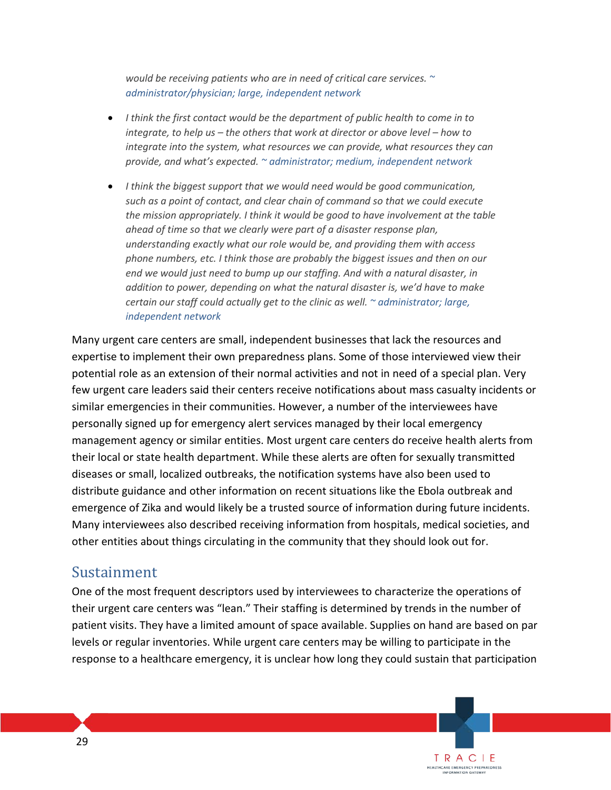*would be receiving patients who are in need of critical care services. ~ administrator/physician; large, independent network*

- *I think the first contact would be the department of public health to come in to integrate, to help us – the others that work at director or above level – how to integrate into the system, what resources we can provide, what resources they can provide, and what's expected. ~ administrator; medium, independent network*
- *I think the biggest support that we would need would be good communication, such as a point of contact, and clear chain of command so that we could execute the mission appropriately. I think it would be good to have involvement at the table ahead of time so that we clearly were part of a disaster response plan, understanding exactly what our role would be, and providing them with access phone numbers, etc. I think those are probably the biggest issues and then on our end we would just need to bump up our staffing. And with a natural disaster, in addition to power, depending on what the natural disaster is, we'd have to make certain our staff could actually get to the clinic as well. ~ administrator; large, independent network*

Many urgent care centers are small, independent businesses that lack the resources and expertise to implement their own preparedness plans. Some of those interviewed view their potential role as an extension of their normal activities and not in need of a special plan. Very few urgent care leaders said their centers receive notifications about mass casualty incidents or similar emergencies in their communities. However, a number of the interviewees have personally signed up for emergency alert services managed by their local emergency management agency or similar entities. Most urgent care centers do receive health alerts from their local or state health department. While these alerts are often for sexually transmitted diseases or small, localized outbreaks, the notification systems have also been used to distribute guidance and other information on recent situations like the Ebola outbreak and emergence of Zika and would likely be a trusted source of information during future incidents. Many interviewees also described receiving information from hospitals, medical societies, and other entities about things circulating in the community that they should look out for.

### Sustainment

One of the most frequent descriptors used by interviewees to characterize the operations of their urgent care centers was "lean." Their staffing is determined by trends in the number of patient visits. They have a limited amount of space available. Supplies on hand are based on par levels or regular inventories. While urgent care centers may be willing to participate in the response to a healthcare emergency, it is unclear how long they could sustain that participation

> TRACIE HEALTHCARE EMERGENCY PREPAREDNESS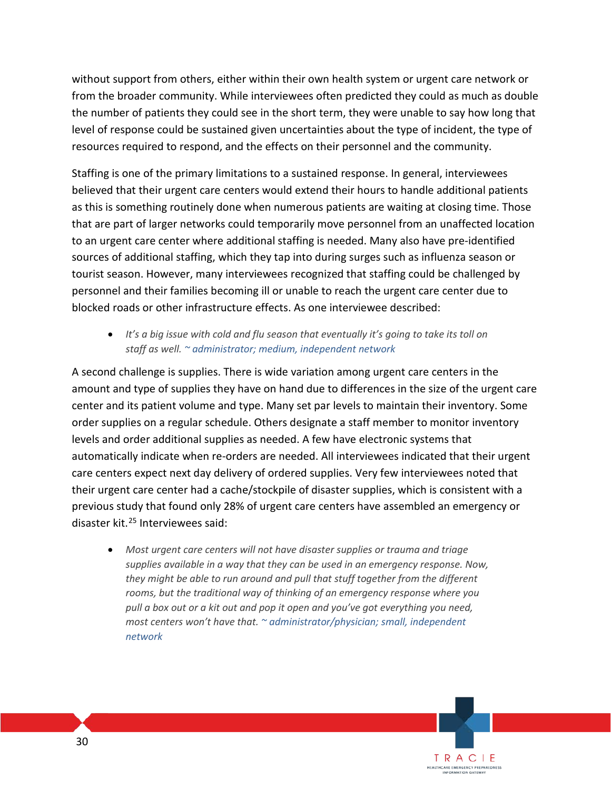without support from others, either within their own health system or urgent care network or from the broader community. While interviewees often predicted they could as much as double the number of patients they could see in the short term, they were unable to say how long that level of response could be sustained given uncertainties about the type of incident, the type of resources required to respond, and the effects on their personnel and the community.

Staffing is one of the primary limitations to a sustained response. In general, interviewees believed that their urgent care centers would extend their hours to handle additional patients as this is something routinely done when numerous patients are waiting at closing time. Those that are part of larger networks could temporarily move personnel from an unaffected location to an urgent care center where additional staffing is needed. Many also have pre-identified sources of additional staffing, which they tap into during surges such as influenza season or tourist season. However, many interviewees recognized that staffing could be challenged by personnel and their families becoming ill or unable to reach the urgent care center due to blocked roads or other infrastructure effects. As one interviewee described:

• *It's a big issue with cold and flu season that eventually it's going to take its toll on staff as well. ~ administrator; medium, independent network*

A second challenge is supplies. There is wide variation among urgent care centers in the amount and type of supplies they have on hand due to differences in the size of the urgent care center and its patient volume and type. Many set par levels to maintain their inventory. Some order supplies on a regular schedule. Others designate a staff member to monitor inventory levels and order additional supplies as needed. A few have electronic systems that automatically indicate when re-orders are needed. All interviewees indicated that their urgent care centers expect next day delivery of ordered supplies. Very few interviewees noted that their urgent care center had a cache/stockpile of disaster supplies, which is consistent with a previous study that found only 28% of urgent care centers have assembled an emergency or disaster kit.[25](#page-45-24) Interviewees said:

• *Most urgent care centers will not have disaster supplies or trauma and triage supplies available in a way that they can be used in an emergency response. Now, they might be able to run around and pull that stuff together from the different rooms, but the traditional way of thinking of an emergency response where you pull a box out or a kit out and pop it open and you've got everything you need, most centers won't have that. ~ administrator/physician; small, independent network*

> TRACIE HEALTHCARE EMERGENCY PREPAREDNESS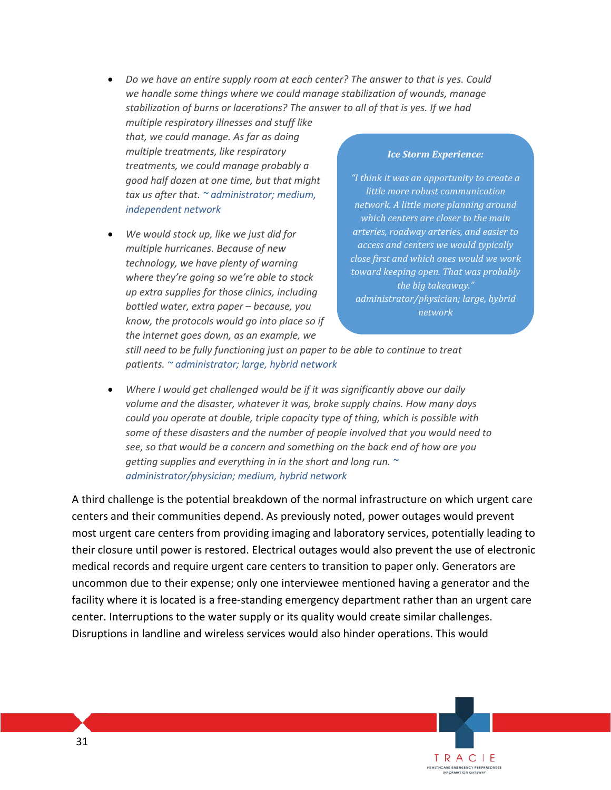• *Do we have an entire supply room at each center? The answer to that is yes. Could we handle some things where we could manage stabilization of wounds, manage stabilization of burns or lacerations? The answer to all of that is yes. If we had* 

*multiple respiratory illnesses and stuff like that, we could manage. As far as doing multiple treatments, like respiratory treatments, we could manage probably a good half dozen at one time, but that might tax us after that. ~ administrator; medium, independent network*

• *We would stock up, like we just did for multiple hurricanes. Because of new technology, we have plenty of warning where they're going so we're able to stock up extra supplies for those clinics, including bottled water, extra paper – because, you know, the protocols would go into place so if the internet goes down, as an example, we* 

#### *Ice Storm Experience:*

*"I think it was an opportunity to create a little more robust communication network. A little more planning around which centers are closer to the main arteries, roadway arteries, and easier to access and centers we would typically close first and which ones would we work toward keeping open. That was probably the big takeaway." administrator/physician; large, hybrid network* 

> TRACIE HEALTHCARE EMERGENCY PREPAREDNESS<br>INFORMATION GATEWAY

*still need to be fully functioning just on paper to be able to continue to treat patients. ~ administrator; large, hybrid network* 

• *Where I would get challenged would be if it was significantly above our daily volume and the disaster, whatever it was, broke supply chains. How many days could you operate at double, triple capacity type of thing, which is possible with some of these disasters and the number of people involved that you would need to see, so that would be a concern and something on the back end of how are you getting supplies and everything in in the short and long run. ~ administrator/physician; medium, hybrid network* 

A third challenge is the potential breakdown of the normal infrastructure on which urgent care centers and their communities depend. As previously noted, power outages would prevent most urgent care centers from providing imaging and laboratory services, potentially leading to their closure until power is restored. Electrical outages would also prevent the use of electronic medical records and require urgent care centers to transition to paper only. Generators are uncommon due to their expense; only one interviewee mentioned having a generator and the facility where it is located is a free-standing emergency department rather than an urgent care center. Interruptions to the water supply or its quality would create similar challenges. Disruptions in landline and wireless services would also hinder operations. This would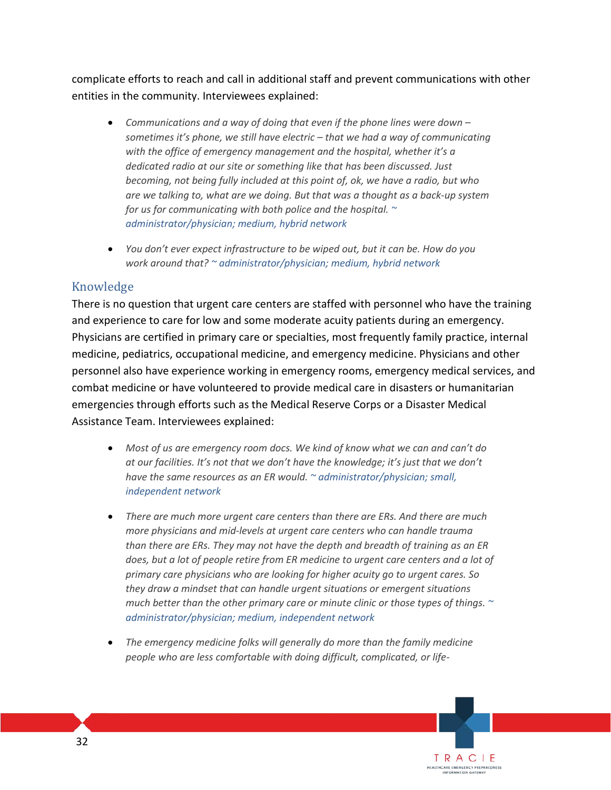complicate efforts to reach and call in additional staff and prevent communications with other entities in the community. Interviewees explained:

- *Communications and a way of doing that even if the phone lines were down – sometimes it's phone, we still have electric – that we had a way of communicating with the office of emergency management and the hospital, whether it's a dedicated radio at our site or something like that has been discussed. Just becoming, not being fully included at this point of, ok, we have a radio, but who are we talking to, what are we doing. But that was a thought as a back-up system for us for communicating with both police and the hospital. ~ administrator/physician; medium, hybrid network*
- *You don't ever expect infrastructure to be wiped out, but it can be. How do you work around that? ~ administrator/physician; medium, hybrid network*

### Knowledge

There is no question that urgent care centers are staffed with personnel who have the training and experience to care for low and some moderate acuity patients during an emergency. Physicians are certified in primary care or specialties, most frequently family practice, internal medicine, pediatrics, occupational medicine, and emergency medicine. Physicians and other personnel also have experience working in emergency rooms, emergency medical services, and combat medicine or have volunteered to provide medical care in disasters or humanitarian emergencies through efforts such as the Medical Reserve Corps or a Disaster Medical Assistance Team. Interviewees explained:

- *Most of us are emergency room docs. We kind of know what we can and can't do at our facilities. It's not that we don't have the knowledge; it's just that we don't have the same resources as an ER would. ~ administrator/physician; small, independent network*
- *There are much more urgent care centers than there are ERs. And there are much more physicians and mid-levels at urgent care centers who can handle trauma than there are ERs. They may not have the depth and breadth of training as an ER*  does, but a lot of people retire from ER medicine to urgent care centers and a lot of *primary care physicians who are looking for higher acuity go to urgent cares. So they draw a mindset that can handle urgent situations or emergent situations much better than the other primary care or minute clinic or those types of things. ~ administrator/physician; medium, independent network*
- *The emergency medicine folks will generally do more than the family medicine people who are less comfortable with doing difficult, complicated, or life-*

TRACIE HEALTHCARE EMERGENCY PREPAREDNESS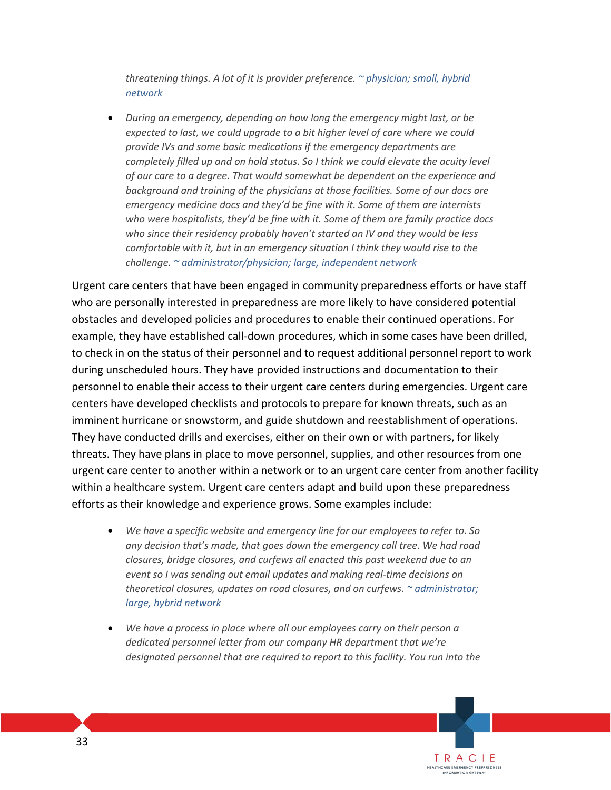*threatening things. A lot of it is provider preference. ~ physician; small, hybrid network* 

• *During an emergency, depending on how long the emergency might last, or be expected to last, we could upgrade to a bit higher level of care where we could provide IVs and some basic medications if the emergency departments are completely filled up and on hold status. So I think we could elevate the acuity level of our care to a degree. That would somewhat be dependent on the experience and background and training of the physicians at those facilities. Some of our docs are emergency medicine docs and they'd be fine with it. Some of them are internists who were hospitalists, they'd be fine with it. Some of them are family practice docs who since their residency probably haven't started an IV and they would be less comfortable with it, but in an emergency situation I think they would rise to the challenge. ~ administrator/physician; large, independent network*

Urgent care centers that have been engaged in community preparedness efforts or have staff who are personally interested in preparedness are more likely to have considered potential obstacles and developed policies and procedures to enable their continued operations. For example, they have established call-down procedures, which in some cases have been drilled, to check in on the status of their personnel and to request additional personnel report to work during unscheduled hours. They have provided instructions and documentation to their personnel to enable their access to their urgent care centers during emergencies. Urgent care centers have developed checklists and protocols to prepare for known threats, such as an imminent hurricane or snowstorm, and guide shutdown and reestablishment of operations. They have conducted drills and exercises, either on their own or with partners, for likely threats. They have plans in place to move personnel, supplies, and other resources from one urgent care center to another within a network or to an urgent care center from another facility within a healthcare system. Urgent care centers adapt and build upon these preparedness efforts as their knowledge and experience grows. Some examples include:

- *We have a specific website and emergency line for our employees to refer to. So any decision that's made, that goes down the emergency call tree. We had road closures, bridge closures, and curfews all enacted this past weekend due to an event so I was sending out email updates and making real-time decisions on theoretical closures, updates on road closures, and on curfews. ~ administrator; large, hybrid network*
- *We have a process in place where all our employees carry on their person a dedicated personnel letter from our company HR department that we're designated personnel that are required to report to this facility. You run into the*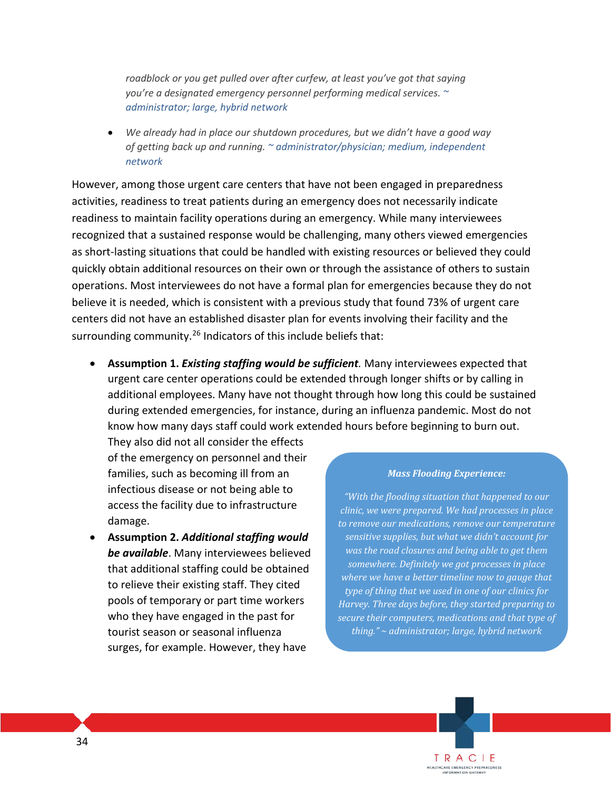*roadblock or you get pulled over after curfew, at least you've got that saying you're a designated emergency personnel performing medical services. ~ administrator; large, hybrid network* 

• *We already had in place our shutdown procedures, but we didn't have a good way of getting back up and running. ~ administrator/physician; medium, independent network*

However, among those urgent care centers that have not been engaged in preparedness activities, readiness to treat patients during an emergency does not necessarily indicate readiness to maintain facility operations during an emergency. While many interviewees recognized that a sustained response would be challenging, many others viewed emergencies as short-lasting situations that could be handled with existing resources or believed they could quickly obtain additional resources on their own or through the assistance of others to sustain operations. Most interviewees do not have a formal plan for emergencies because they do not believe it is needed, which is consistent with a previous study that found 73% of urgent care centers did not have an established disaster plan for events involving their facility and the surrounding community.<sup>[26](#page-45-25)</sup> Indicators of this include beliefs that:

• **Assumption 1.** *Existing staffing would be sufficient.* Many interviewees expected that urgent care center operations could be extended through longer shifts or by calling in additional employees. Many have not thought through how long this could be sustained during extended emergencies, for instance, during an influenza pandemic. Most do not know how many days staff could work extended hours before beginning to burn out.

They also did not all consider the effects of the emergency on personnel and their families, such as becoming ill from an infectious disease or not being able to access the facility due to infrastructure damage.

• **Assumption 2.** *Additional staffing would be available*. Many interviewees believed that additional staffing could be obtained to relieve their existing staff. They cited pools of temporary or part time workers who they have engaged in the past for tourist season or seasonal influenza surges, for example. However, they have

#### *Mass Flooding Experience:*

*"With the flooding situation that happened to our clinic, we were prepared. We had processes in place to remove our medications, remove our temperature sensitive supplies, but what we didn't account for was the road closures and being able to get them somewhere. Definitely we got processes in place where we have a better timeline now to gauge that type of thing that we used in one of our clinics for Harvey. Three days before, they started preparing to secure their computers, medications and that type of thing." ~ administrator; large, hybrid network* 

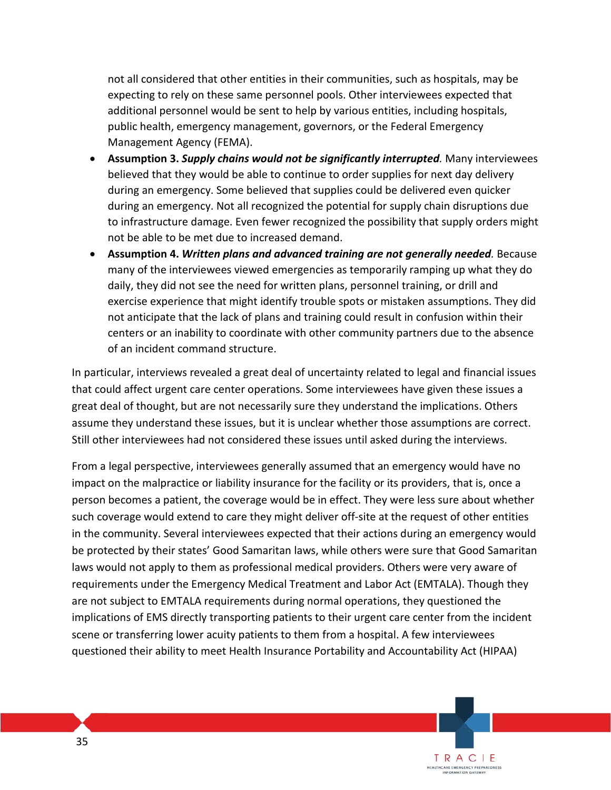not all considered that other entities in their communities, such as hospitals, may be expecting to rely on these same personnel pools. Other interviewees expected that additional personnel would be sent to help by various entities, including hospitals, public health, emergency management, governors, or the Federal Emergency Management Agency (FEMA).

- **Assumption 3.** *Supply chains would not be significantly interrupted.* Many interviewees believed that they would be able to continue to order supplies for next day delivery during an emergency. Some believed that supplies could be delivered even quicker during an emergency. Not all recognized the potential for supply chain disruptions due to infrastructure damage. Even fewer recognized the possibility that supply orders might not be able to be met due to increased demand.
- **Assumption 4.** *Written plans and advanced training are not generally needed.* Because many of the interviewees viewed emergencies as temporarily ramping up what they do daily, they did not see the need for written plans, personnel training, or drill and exercise experience that might identify trouble spots or mistaken assumptions. They did not anticipate that the lack of plans and training could result in confusion within their centers or an inability to coordinate with other community partners due to the absence of an incident command structure.

In particular, interviews revealed a great deal of uncertainty related to legal and financial issues that could affect urgent care center operations. Some interviewees have given these issues a great deal of thought, but are not necessarily sure they understand the implications. Others assume they understand these issues, but it is unclear whether those assumptions are correct. Still other interviewees had not considered these issues until asked during the interviews.

From a legal perspective, interviewees generally assumed that an emergency would have no impact on the malpractice or liability insurance for the facility or its providers, that is, once a person becomes a patient, the coverage would be in effect. They were less sure about whether such coverage would extend to care they might deliver off-site at the request of other entities in the community. Several interviewees expected that their actions during an emergency would be protected by their states' Good Samaritan laws, while others were sure that Good Samaritan laws would not apply to them as professional medical providers. Others were very aware of requirements under the Emergency Medical Treatment and Labor Act (EMTALA). Though they are not subject to EMTALA requirements during normal operations, they questioned the implications of EMS directly transporting patients to their urgent care center from the incident scene or transferring lower acuity patients to them from a hospital. A few interviewees questioned their ability to meet Health Insurance Portability and Accountability Act (HIPAA)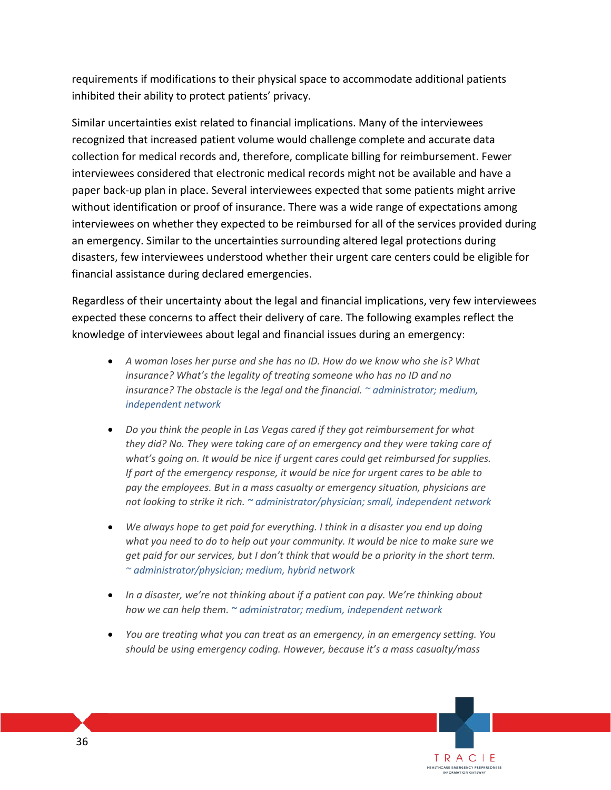requirements if modifications to their physical space to accommodate additional patients inhibited their ability to protect patients' privacy.

Similar uncertainties exist related to financial implications. Many of the interviewees recognized that increased patient volume would challenge complete and accurate data collection for medical records and, therefore, complicate billing for reimbursement. Fewer interviewees considered that electronic medical records might not be available and have a paper back-up plan in place. Several interviewees expected that some patients might arrive without identification or proof of insurance. There was a wide range of expectations among interviewees on whether they expected to be reimbursed for all of the services provided during an emergency. Similar to the uncertainties surrounding altered legal protections during disasters, few interviewees understood whether their urgent care centers could be eligible for financial assistance during declared emergencies.

Regardless of their uncertainty about the legal and financial implications, very few interviewees expected these concerns to affect their delivery of care. The following examples reflect the knowledge of interviewees about legal and financial issues during an emergency:

- *A woman loses her purse and she has no ID. How do we know who she is? What insurance? What's the legality of treating someone who has no ID and no insurance? The obstacle is the legal and the financial. ~ administrator; medium, independent network*
- *Do you think the people in Las Vegas cared if they got reimbursement for what they did? No. They were taking care of an emergency and they were taking care of what's going on. It would be nice if urgent cares could get reimbursed for supplies. If part of the emergency response, it would be nice for urgent cares to be able to pay the employees. But in a mass casualty or emergency situation, physicians are not looking to strike it rich. ~ administrator/physician; small, independent network*
- *We always hope to get paid for everything. I think in a disaster you end up doing what you need to do to help out your community. It would be nice to make sure we get paid for our services, but I don't think that would be a priority in the short term. ~ administrator/physician; medium, hybrid network*
- *In a disaster, we're not thinking about if a patient can pay. We're thinking about how we can help them. ~ administrator; medium, independent network*
- *You are treating what you can treat as an emergency, in an emergency setting. You should be using emergency coding. However, because it's a mass casualty/mass*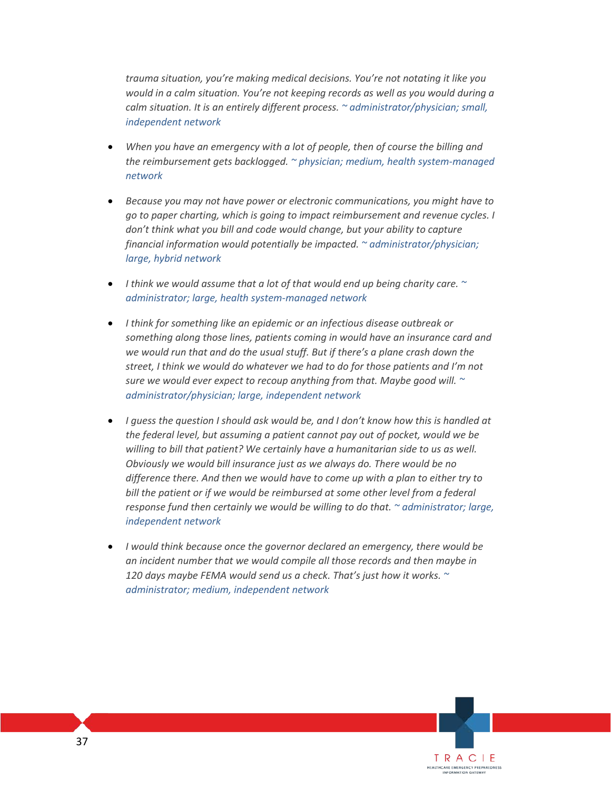*trauma situation, you're making medical decisions. You're not notating it like you would in a calm situation. You're not keeping records as well as you would during a calm situation. It is an entirely different process. ~ administrator/physician; small, independent network*

- *When you have an emergency with a lot of people, then of course the billing and the reimbursement gets backlogged. ~ physician; medium, health system-managed network*
- *Because you may not have power or electronic communications, you might have to go to paper charting, which is going to impact reimbursement and revenue cycles. I don't think what you bill and code would change, but your ability to capture financial information would potentially be impacted. ~ administrator/physician; large, hybrid network*
- *I think we would assume that a lot of that would end up being charity care. ~ administrator; large, health system-managed network*
- *I think for something like an epidemic or an infectious disease outbreak or something along those lines, patients coming in would have an insurance card and we would run that and do the usual stuff. But if there's a plane crash down the street, I think we would do whatever we had to do for those patients and I'm not sure we would ever expect to recoup anything from that. Maybe good will. ~ administrator/physician; large, independent network*
- *I guess the question I should ask would be, and I don't know how this is handled at the federal level, but assuming a patient cannot pay out of pocket, would we be willing to bill that patient? We certainly have a humanitarian side to us as well. Obviously we would bill insurance just as we always do. There would be no difference there. And then we would have to come up with a plan to either try to*  bill the patient or if we would be reimbursed at some other level from a federal *response fund then certainly we would be willing to do that. ~ administrator; large, independent network*
- *I would think because once the governor declared an emergency, there would be an incident number that we would compile all those records and then maybe in 120 days maybe FEMA would send us a check. That's just how it works. ~ administrator; medium, independent network*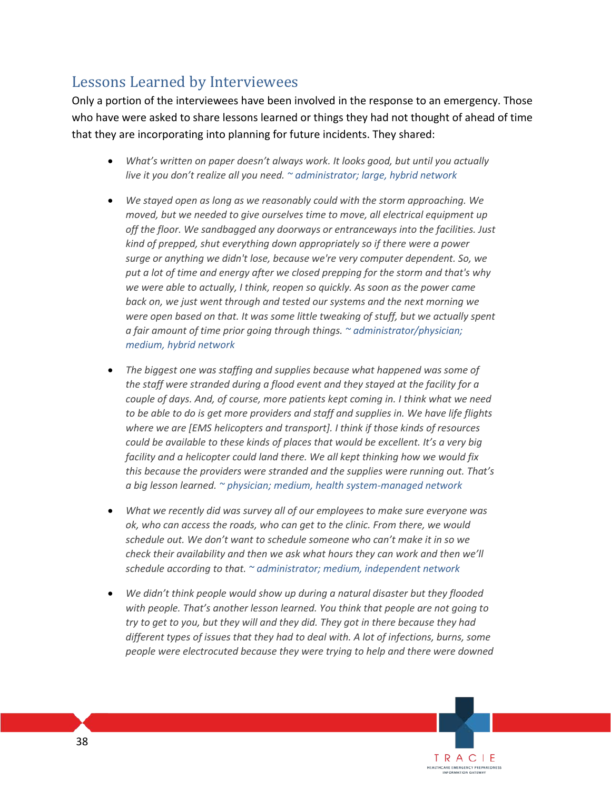## Lessons Learned by Interviewees

Only a portion of the interviewees have been involved in the response to an emergency. Those who have were asked to share lessons learned or things they had not thought of ahead of time that they are incorporating into planning for future incidents. They shared:

- *What's written on paper doesn't always work. It looks good, but until you actually live it you don't realize all you need. ~ administrator; large, hybrid network*
- *We stayed open as long as we reasonably could with the storm approaching. We moved, but we needed to give ourselves time to move, all electrical equipment up off the floor. We sandbagged any doorways or entranceways into the facilities. Just kind of prepped, shut everything down appropriately so if there were a power surge or anything we didn't lose, because we're very computer dependent. So, we put a lot of time and energy after we closed prepping for the storm and that's why we were able to actually, I think, reopen so quickly. As soon as the power came back on, we just went through and tested our systems and the next morning we were open based on that. It was some little tweaking of stuff, but we actually spent a fair amount of time prior going through things. ~ administrator/physician; medium, hybrid network*
- *The biggest one was staffing and supplies because what happened was some of the staff were stranded during a flood event and they stayed at the facility for a couple of days. And, of course, more patients kept coming in. I think what we need to be able to do is get more providers and staff and supplies in. We have life flights where we are [EMS helicopters and transport]. I think if those kinds of resources could be available to these kinds of places that would be excellent. It's a very big facility and a helicopter could land there. We all kept thinking how we would fix this because the providers were stranded and the supplies were running out. That's a big lesson learned. ~ physician; medium, health system-managed network*
- *What we recently did was survey all of our employees to make sure everyone was ok, who can access the roads, who can get to the clinic. From there, we would schedule out. We don't want to schedule someone who can't make it in so we check their availability and then we ask what hours they can work and then we'll schedule according to that. ~ administrator; medium, independent network*
- *We didn't think people would show up during a natural disaster but they flooded with people. That's another lesson learned. You think that people are not going to try to get to you, but they will and they did. They got in there because they had different types of issues that they had to deal with. A lot of infections, burns, some people were electrocuted because they were trying to help and there were downed*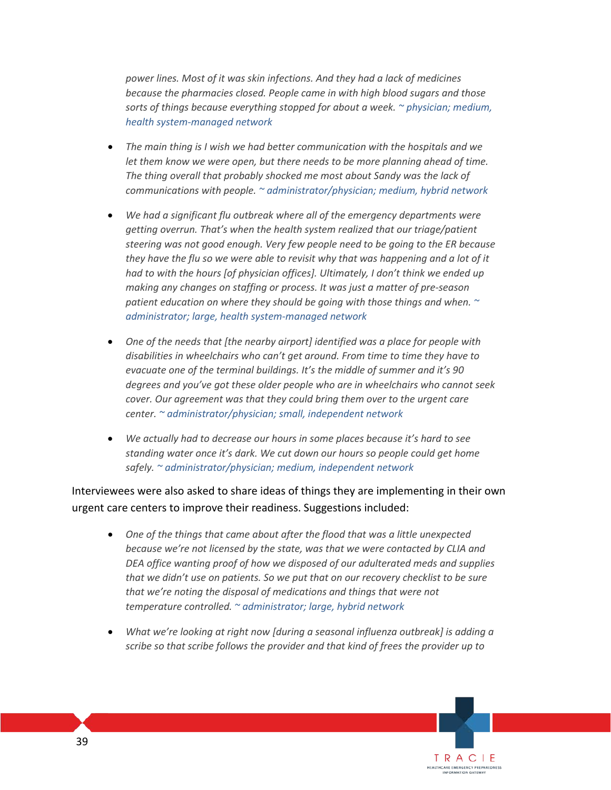*power lines. Most of it was skin infections. And they had a lack of medicines because the pharmacies closed. People came in with high blood sugars and those sorts of things because everything stopped for about a week. ~ physician; medium, health system-managed network*

- *The main thing is I wish we had better communication with the hospitals and we let them know we were open, but there needs to be more planning ahead of time. The thing overall that probably shocked me most about Sandy was the lack of communications with people. ~ administrator/physician; medium, hybrid network*
- *We had a significant flu outbreak where all of the emergency departments were getting overrun. That's when the health system realized that our triage/patient steering was not good enough. Very few people need to be going to the ER because they have the flu so we were able to revisit why that was happening and a lot of it had to with the hours [of physician offices]. Ultimately, I don't think we ended up making any changes on staffing or process. It was just a matter of pre-season patient education on where they should be going with those things and when. ~ administrator; large, health system-managed network*
- *One of the needs that [the nearby airport] identified was a place for people with disabilities in wheelchairs who can't get around. From time to time they have to evacuate one of the terminal buildings. It's the middle of summer and it's 90 degrees and you've got these older people who are in wheelchairs who cannot seek cover. Our agreement was that they could bring them over to the urgent care center. ~ administrator/physician; small, independent network*
- *We actually had to decrease our hours in some places because it's hard to see standing water once it's dark. We cut down our hours so people could get home safely. ~ administrator/physician; medium, independent network*

Interviewees were also asked to share ideas of things they are implementing in their own urgent care centers to improve their readiness. Suggestions included:

- *One of the things that came about after the flood that was a little unexpected because we're not licensed by the state, was that we were contacted by CLIA and DEA office wanting proof of how we disposed of our adulterated meds and supplies that we didn't use on patients. So we put that on our recovery checklist to be sure that we're noting the disposal of medications and things that were not temperature controlled. ~ administrator; large, hybrid network*
- *What we're looking at right now [during a seasonal influenza outbreak] is adding a scribe so that scribe follows the provider and that kind of frees the provider up to*

TRACIE HEALTHCARE EMERGENCY PREPAREDNESS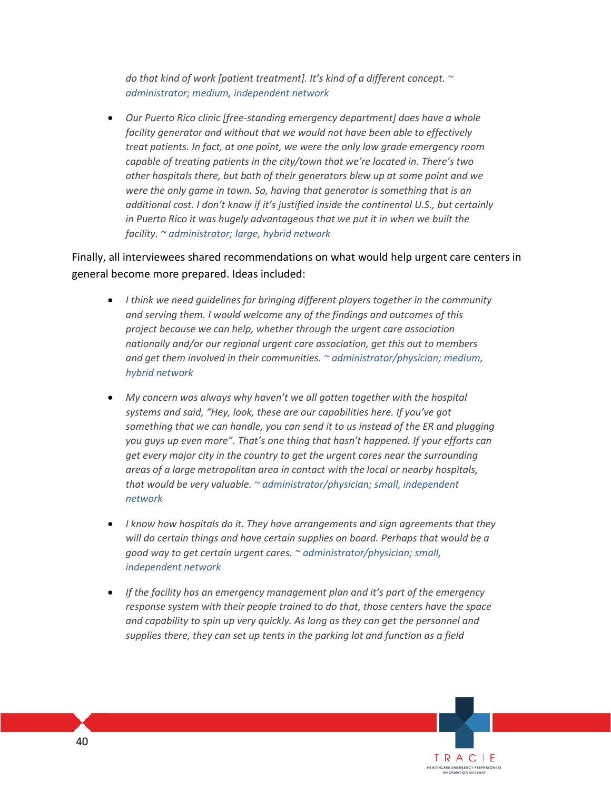*do that kind of work [patient treatment]. It's kind of a different concept. ~ administrator; medium, independent network*

• *Our Puerto Rico clinic [free-standing emergency department] does have a whole facility generator and without that we would not have been able to effectively treat patients. In fact, at one point, we were the only low grade emergency room capable of treating patients in the city/town that we're located in. There's two other hospitals there, but both of their generators blew up at some point and we were the only game in town. So, having that generator is something that is an additional cost. I don't know if it's justified inside the continental U.S., but certainly in Puerto Rico it was hugely advantageous that we put it in when we built the facility. ~ administrator; large, hybrid network* 

Finally, all interviewees shared recommendations on what would help urgent care centers in general become more prepared. Ideas included:

- *I think we need guidelines for bringing different players together in the community and serving them. I would welcome any of the findings and outcomes of this project because we can help, whether through the urgent care association nationally and/or our regional urgent care association, get this out to members and get them involved in their communities. ~ administrator/physician; medium, hybrid network*
- *My concern was always why haven't we all gotten together with the hospital systems and said, "Hey, look, these are our capabilities here. If you've got something that we can handle, you can send it to us instead of the ER and plugging you guys up even more". That's one thing that hasn't happened. If your efforts can get every major city in the country to get the urgent cares near the surrounding areas of a large metropolitan area in contact with the local or nearby hospitals, that would be very valuable. ~ administrator/physician; small, independent network*
- *I know how hospitals do it. They have arrangements and sign agreements that they will do certain things and have certain supplies on board. Perhaps that would be a good way to get certain urgent cares. ~ administrator/physician; small, independent network*
- *If the facility has an emergency management plan and it's part of the emergency response system with their people trained to do that, those centers have the space and capability to spin up very quickly. As long as they can get the personnel and supplies there, they can set up tents in the parking lot and function as a field*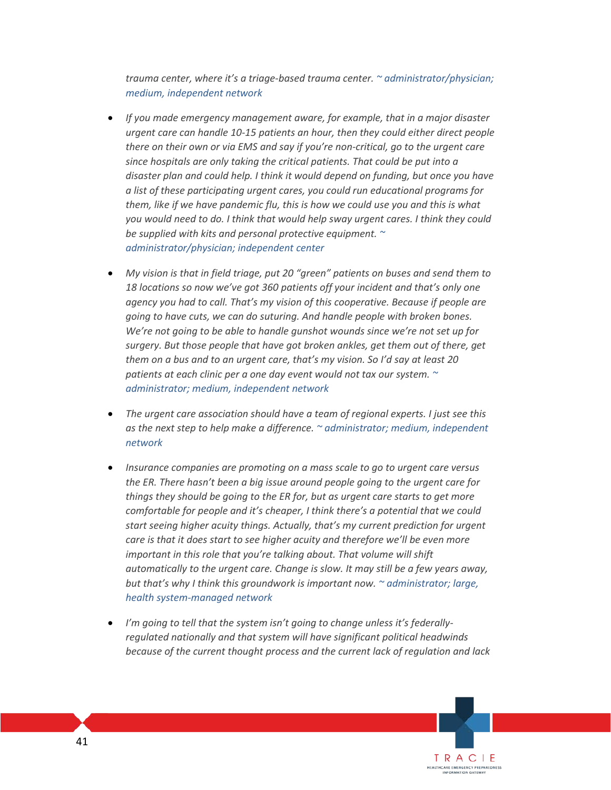*trauma center, where it's a triage-based trauma center. ~ administrator/physician; medium, independent network*

- *If you made emergency management aware, for example, that in a major disaster urgent care can handle 10-15 patients an hour, then they could either direct people there on their own or via EMS and say if you're non-critical, go to the urgent care since hospitals are only taking the critical patients. That could be put into a disaster plan and could help. I think it would depend on funding, but once you have a list of these participating urgent cares, you could run educational programs for them, like if we have pandemic flu, this is how we could use you and this is what you would need to do. I think that would help sway urgent cares. I think they could be supplied with kits and personal protective equipment. ~ administrator/physician; independent center*
- *My vision is that in field triage, put 20 "green" patients on buses and send them to 18 locations so now we've got 360 patients off your incident and that's only one agency you had to call. That's my vision of this cooperative. Because if people are going to have cuts, we can do suturing. And handle people with broken bones. We're not going to be able to handle gunshot wounds since we're not set up for surgery. But those people that have got broken ankles, get them out of there, get them on a bus and to an urgent care, that's my vision. So I'd say at least 20 patients at each clinic per a one day event would not tax our system. ~ administrator; medium, independent network*
- *The urgent care association should have a team of regional experts. I just see this as the next step to help make a difference. ~ administrator; medium, independent network*
- *Insurance companies are promoting on a mass scale to go to urgent care versus the ER. There hasn't been a big issue around people going to the urgent care for things they should be going to the ER for, but as urgent care starts to get more comfortable for people and it's cheaper, I think there's a potential that we could start seeing higher acuity things. Actually, that's my current prediction for urgent care is that it does start to see higher acuity and therefore we'll be even more important in this role that you're talking about. That volume will shift automatically to the urgent care. Change is slow. It may still be a few years away, but that's why I think this groundwork is important now. ~ administrator; large, health system-managed network*
- *I'm going to tell that the system isn't going to change unless it's federallyregulated nationally and that system will have significant political headwinds because of the current thought process and the current lack of regulation and lack*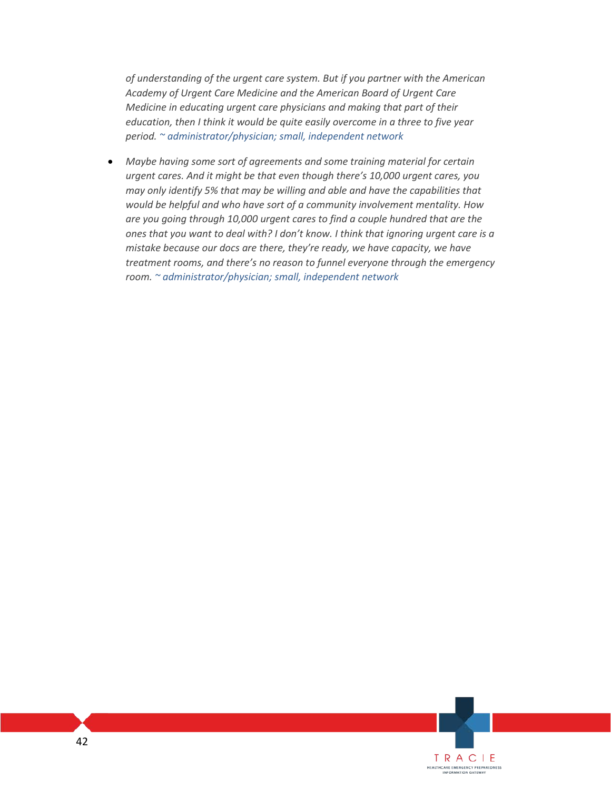*of understanding of the urgent care system. But if you partner with the American Academy of Urgent Care Medicine and the American Board of Urgent Care Medicine in educating urgent care physicians and making that part of their education, then I think it would be quite easily overcome in a three to five year period. ~ administrator/physician; small, independent network*

• *Maybe having some sort of agreements and some training material for certain urgent cares. And it might be that even though there's 10,000 urgent cares, you may only identify 5% that may be willing and able and have the capabilities that would be helpful and who have sort of a community involvement mentality. How are you going through 10,000 urgent cares to find a couple hundred that are the ones that you want to deal with? I don't know. I think that ignoring urgent care is a mistake because our docs are there, they're ready, we have capacity, we have treatment rooms, and there's no reason to funnel everyone through the emergency room. ~ administrator/physician; small, independent network*

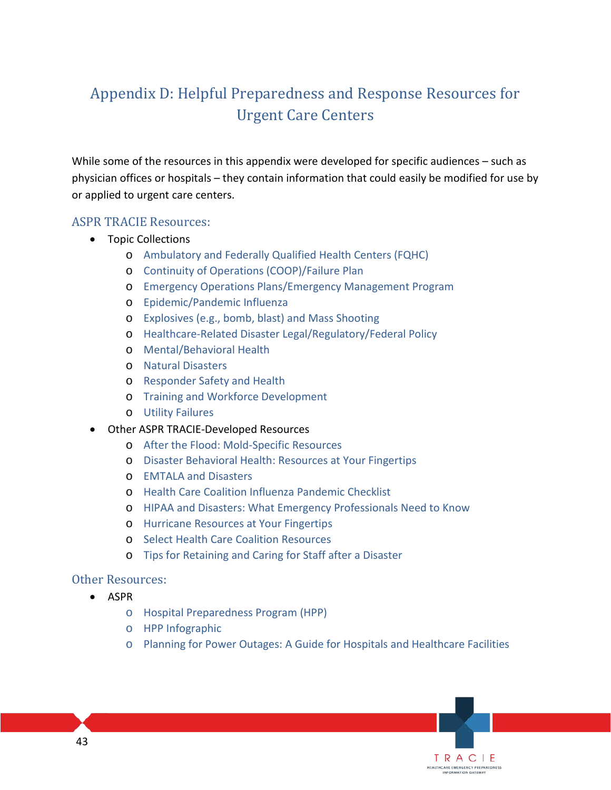## Appendix D: Helpful Preparedness and Response Resources for Urgent Care Centers

While some of the resources in this appendix were developed for specific audiences – such as physician offices or hospitals – they contain information that could easily be modified for use by or applied to urgent care centers.

### ASPR TRACIE Resources:

- Topic Collections
	- o [Ambulatory and Federally Qualified Health Centers \(FQHC\)](https://asprtracie.hhs.gov/technical-resources/49/ambulatory-care-and-federally-qualified-health-centers-fqhc/47)
	- o [Continuity of Operations \(COOP\)/Failure Plan](https://asprtracie.hhs.gov/technical-resources/17/continuity-of-operations-coop-failure-plan/16)
	- o [Emergency Operations Plans/Emergency Management Program](https://asprtracie.hhs.gov/technical-resources/84/emncy-operations-plans-emncy-management-program/1)
	- o [Epidemic/Pandemic Influenza](https://asprtracie.hhs.gov/technical-resources/42/epidemic-pandemic-flu/40)
	- o [Explosives \(e.g., bomb, blast\) and Mass Shooting](https://asprtracie.hhs.gov/technical-resources/30/explosives-bomb-blast-and-mass-shooting/27)
	- o [Healthcare-Related Disaster Legal/Regulatory/Federal Policy](https://asprtracie.hhs.gov/technical-resources/83/healthcare-related-disaster-legal-regulatory-federal-policy/1)
	- o [Mental/Behavioral Health](https://asprtracie.hhs.gov/technical-resources/68/mental-behavioral-health-non-responders/60)
	- o [Natural Disasters](https://asprtracie.hhs.gov/technical-resources/36/natural-disasters/27)
	- o [Responder Safety and Health](https://asprtracie.hhs.gov/technical-resources/72/responder-safety-and-health/60)
	- o [Training and Workforce Development](https://asprtracie.hhs.gov/technical-resources/11/training-and-workforce-development/9)
	- o [Utility Failures](https://asprtracie.hhs.gov/technical-resources/35/utility-failures-blackouts-potable-water/27)
- Other ASPR TRACIE-Developed Resources
	- o [After the Flood: Mold-Specific Resources](https://asprtracie.s3.amazonaws.com/documents/after-the-flood-mold-specific-resources.pdf)
	- o [Disaster Behavioral Health: Resources at Your Fingertips](https://asprtracie.s3.amazonaws.com/documents/aspr-tracie-dbh-resources-at-your-fingertips.pdf)
	- o [EMTALA and Disasters](https://asprtracie.s3.amazonaws.com/documents/aspr-tracie-fact-sheet-emtala-and-disasters.pdf)
	- o [Health Care Coalition Influenza Pandemic Checklist](https://asprtracie.s3.amazonaws.com/documents/aspr-tracie-hcc-pandemic-checklist-508.pdf)
	- o [HIPAA and Disasters: What Emergency Professionals Need to Know](https://asprtracie.s3.amazonaws.com/documents/aspr-tracie-hipaa-emergency-fact-sheet.pdf)
	- o [Hurricane Resources at Your Fingertips](https://asprtracie.s3.amazonaws.com/documents/aspr-tracie-hurricane-resources-at-your-fingertips.pdf)
	- o [Select Health Care Coalition Resources](https://asprtracie.hhs.gov/hcc-resources)
	- o [Tips for Retaining and Caring for Staff after a Disaster](https://asprtracie.s3.amazonaws.com/documents/tips-for-retaining-and-caring-for-staff-after-disaster.pdf)

#### Other Resources:

- ASPR
	- o [Hospital Preparedness Program \(HPP\)](https://www.phe.gov/Preparedness/planning/hpp/Pages/default.aspx)
	- o [HPP Infographic](https://www.phe.gov/Preparedness/planning/hpp/Documents/HPP-15-anniversary.pdf)
	- o [Planning for Power Outages: A Guide for Hospitals and Healthcare Facilities](http://www.phe.gov/Preparedness/planning/cip/Documents/healthcare-energy.pdf)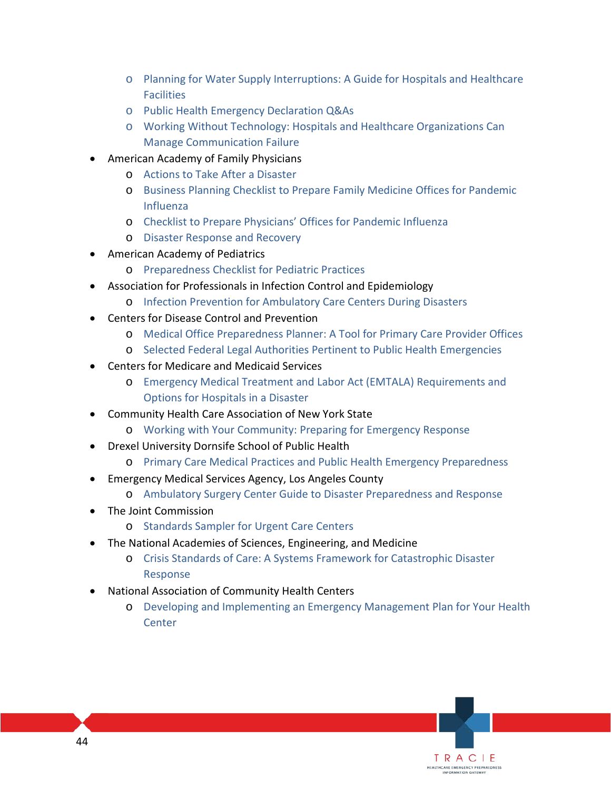- o [Planning for Water Supply Interruptions: A Guide for Hospitals and Healthcare](http://www.phe.gov/Preparedness/planning/cip/Documents/CIP-WaterSupply.pdf)  [Facilities](http://www.phe.gov/Preparedness/planning/cip/Documents/CIP-WaterSupply.pdf)
- o [Public Health Emergency Declaration Q&As](http://www.phe.gov/Preparedness/legal/Pages/phe-qa.aspx)
- o [Working Without Technology: Hospitals and Healthcare Organizations Can](http://www.phe.gov/Preparedness/planning/cip/Documents/workingwithouttechnology.pdf)  [Manage Communication Failure](http://www.phe.gov/Preparedness/planning/cip/Documents/workingwithouttechnology.pdf)
- American Academy of Family Physicians
	- o [Actions to Take After a Disaster](https://www.aafp.org/dam/AAFP/documents/about_us/disaster/Actions-after-Disaster.pdf)
	- o [Business Planning Checklist to Prepare Family Medicine Offices for Pandemic](https://www.aafp.org/dam/AAFP/documents/about_us/disaster/PanFluBizChecklist.pdf)  [Influenza](https://www.aafp.org/dam/AAFP/documents/about_us/disaster/PanFluBizChecklist.pdf)
	- o [Checklist to Prepare Physicians' Offices for Pandemic Influenza](https://www.aafp.org/dam/AAFP/documents/about_us/disaster/PanFluChecklist.pdf)
	- o [Disaster Response and Recovery](https://www.aafp.org/dam/AAFP/documents/about_us/disaster/DisasterRecovery.pdf)
- American Academy of Pediatrics
	- o [Preparedness Checklist for Pediatric Practices](https://www.aap.org/en-us/advocacy-and-policy/aap-health-initiatives/Children-and-Disasters/Documents/PedPreparednessChecklist1b.pdf)
- Association for Professionals in Infection Control and Epidemiology
	- o [Infection Prevention for Ambulatory Care Centers During Disasters](http://apic.org/Resource_/TinyMceFileManager/Emergency_Prep/2013_Ambulatory_Care_during_Disasters_FINAL.pdf)
- Centers for Disease Control and Prevention
	- o [Medical Office Preparedness Planner: A Tool for Primary Care Provider Offices](https://www.cdc.gov/phpr/readiness/healthcare/documents/Medical__Office_Preparedness_Planner.PDF)
	- o [Selected Federal Legal Authorities Pertinent to Public Health Emergencies](https://www.cdc.gov/phlp/docs/ph-emergencies.pdf)
- Centers for Medicare and Medicaid Services
	- o [Emergency Medical Treatment and Labor Act \(EMTALA\) Requirements and](https://www.cms.gov/Medicare/Provider-Enrollment-and-Certification/SurveyCertificationGenInfo/downloads/SCLetter09_52.pdf)  [Options for Hospitals in a Disaster](https://www.cms.gov/Medicare/Provider-Enrollment-and-Certification/SurveyCertificationGenInfo/downloads/SCLetter09_52.pdf)
- Community Health Care Association of New York State
	- o [Working with Your Community: Preparing for Emergency Response](http://c.ymcdn.com/sites/www.mpca.net/resource/resmgr/emergency_management/chcanysep_workingwithyourcommunity.pdf)
- Drexel University Dornsife School of Public Health
	- o [Primary Care Medical Practices and Public Health Emergency Preparedness](http://drexel.edu/dornsife/research/centers-programs-projects/center-for-public-health-readiness-communication/our-projects/pcp-resources/)
- Emergency Medical Services Agency, Los Angeles County
	- o [Ambulatory Surgery Center Guide to Disaster Preparedness and Response](http://file.lacounty.gov/SDSInter/dhs/216887_ASCDisasterManagementGuide5.2.13.pdf)
- The Joint Commission
	- o [Standards Sampler for Urgent Care Centers](https://www.jointcommission.org/assets/1/18/URG_Standards_Sampler.pdf)
- The National Academies of Sciences, Engineering, and Medicine
	- o [Crisis Standards of Care: A Systems Framework for Catastrophic Disaster](http://www.nationalacademies.org/hmd/Reports/2012/Crisis-Standards-of-Care-A-Systems-Framework-for-Catastrophic-Disaster-Response.aspx)  [Response](http://www.nationalacademies.org/hmd/Reports/2012/Crisis-Standards-of-Care-A-Systems-Framework-for-Catastrophic-Disaster-Response.aspx)
- National Association of Community Health Centers
	- o [Developing and Implementing an Emergency Management Plan for Your Health](http://c.ymcdn.com/sites/www.mpca.net/resource/resmgr/emergency_management/nachc%20risk%20management%20series%20article.pdf)  **[Center](http://c.ymcdn.com/sites/www.mpca.net/resource/resmgr/emergency_management/nachc%20risk%20management%20series%20article.pdf)**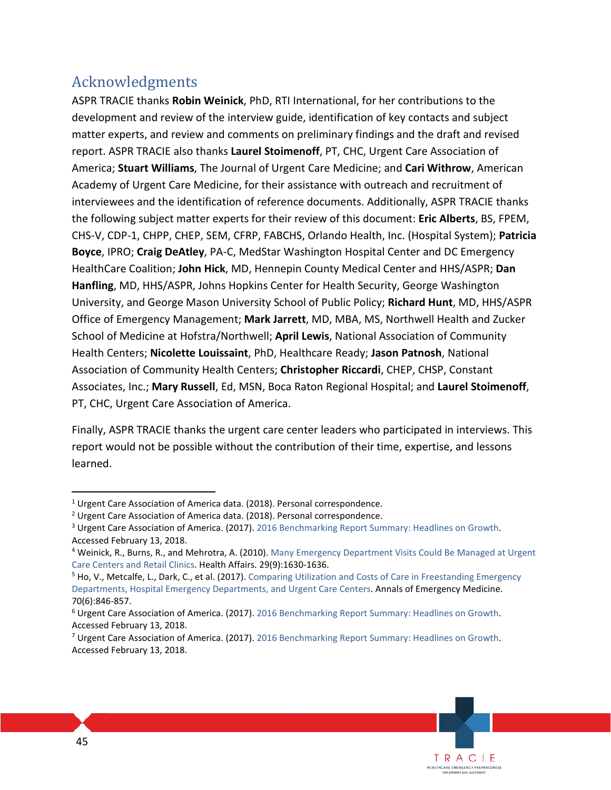## Acknowledgments

ASPR TRACIE thanks **Robin Weinick**, PhD, RTI International, for her contributions to the development and review of the interview guide, identification of key contacts and subject matter experts, and review and comments on preliminary findings and the draft and revised report. ASPR TRACIE also thanks **Laurel Stoimenoff**, PT, CHC, Urgent Care Association of America; **Stuart Williams**, The Journal of Urgent Care Medicine; and **Cari Withrow**, American Academy of Urgent Care Medicine, for their assistance with outreach and recruitment of interviewees and the identification of reference documents. Additionally, ASPR TRACIE thanks the following subject matter experts for their review of this document: **Eric Alberts**, BS, FPEM, CHS-V, CDP-1, CHPP, CHEP, SEM, CFRP, FABCHS, Orlando Health, Inc. (Hospital System); **Patricia Boyce**, IPRO; **Craig DeAtley**, PA-C, MedStar Washington Hospital Center and DC Emergency HealthCare Coalition; **John Hick**, MD, Hennepin County Medical Center and HHS/ASPR; **Dan Hanfling**, MD, HHS/ASPR, Johns Hopkins Center for Health Security, George Washington University, and George Mason University School of Public Policy; **Richard Hunt**, MD, HHS/ASPR Office of Emergency Management; **Mark Jarrett**, MD, MBA, MS, Northwell Health and Zucker School of Medicine at Hofstra/Northwell; **April Lewis**, National Association of Community Health Centers; **Nicolette Louissaint**, PhD, Healthcare Ready; **Jason Patnosh**, National Association of Community Health Centers; **Christopher Riccardi**, CHEP, CHSP, Constant Associates, Inc.; **Mary Russell**, Ed, MSN, Boca Raton Regional Hospital; and **Laurel Stoimenoff**, PT, CHC, Urgent Care Association of America.

Finally, ASPR TRACIE thanks the urgent care center leaders who participated in interviews. This report would not be possible without the contribution of their time, expertise, and lessons learned.

 $\overline{a}$ 

<sup>&</sup>lt;sup>1</sup> Urgent Care Association of America data. (2018). Personal correspondence.

<sup>&</sup>lt;sup>2</sup> Urgent Care Association of America data. (2018). Personal correspondence.

<sup>&</sup>lt;sup>3</sup> Urgent Care Association of America. (2017)[. 2016 Benchmarking Report Summary: Headlines on Growth.](http://c.ymcdn.com/sites/www.ucaoa.org/resource/resmgr/benchmarking/2016BenchmarkReport.pdf) Accessed February 13, 2018.

<sup>&</sup>lt;sup>4</sup> Weinick, R., Burns, R., and Mehrotra, A. (2010). Many Emergency Department Visits Could Be Managed at Urgent [Care Centers and Retail Clinics.](https://www.healthaffairs.org/doi/abs/10.1377/hlthaff.2009.0748) Health Affairs. 29(9):1630-1636.

<sup>&</sup>lt;sup>5</sup> Ho, V., Metcalfe, L., Dark, C., et al. (2017). Comparing Utilization and Costs of Care in Freestanding Emergency [Departments, Hospital Emergency Departments, and Urgent Care Centers.](https://www.ncbi.nlm.nih.gov/pmc/articles/PMC2685126/table/T5/) Annals of Emergency Medicine. 70(6):846-857.

<sup>6</sup> Urgent Care Association of America. (2017)[. 2016 Benchmarking Report Summary: Headlines on Growth.](http://c.ymcdn.com/sites/www.ucaoa.org/resource/resmgr/benchmarking/2016BenchmarkReport.pdf) Accessed February 13, 2018.

<sup>&</sup>lt;sup>7</sup> Urgent Care Association of America. (2017)[. 2016 Benchmarking Report Summary: Headlines on Growth.](http://c.ymcdn.com/sites/www.ucaoa.org/resource/resmgr/benchmarking/2016BenchmarkReport.pdf) Accessed February 13, 2018.